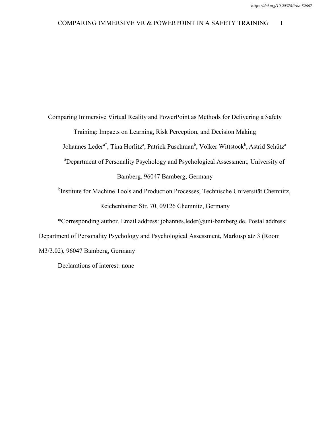#### COMPARING IMMERSIVE VR & POWERPOINT IN A SAFETY TRAINING 1

Comparing Immersive Virtual Reality and PowerPoint as Methods for Delivering a Safety Training: Impacts on Learning, Risk Perception, and Decision Making Johannes Leder<sup>a\*</sup>, Tina Horlitz<sup>a</sup>, Patrick Puschman<sup>b</sup>, Volker Wittstock<sup>b</sup>, Astrid Schütz<sup>a</sup> <sup>a</sup>Department of Personality Psychology and Psychological Assessment, University of Bamberg, 96047 Bamberg, Germany

<sup>b</sup>Institute for Machine Tools and Production Processes, Technische Universität Chemnitz, Reichenhainer Str. 70, 09126 Chemnitz, Germany

\*Corresponding author. Email address: johannes.leder@uni-bamberg.de. Postal address: Department of Personality Psychology and Psychological Assessment, Markusplatz 3 (Room M3/3.02), 96047 Bamberg, Germany

Declarations of interest: none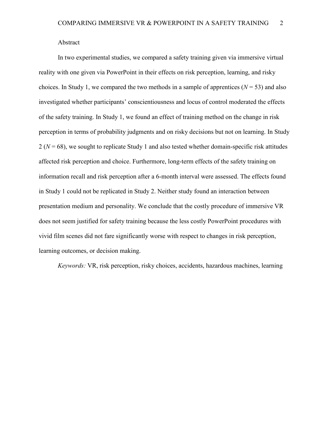Abstract

In two experimental studies, we compared a safety training given via immersive virtual reality with one given via PowerPoint in their effects on risk perception, learning, and risky choices. In Study 1, we compared the two methods in a sample of apprentices  $(N = 53)$  and also investigated whether participants' conscientiousness and locus of control moderated the effects of the safety training. In Study 1, we found an effect of training method on the change in risk perception in terms of probability judgments and on risky decisions but not on learning. In Study 2 (*N* = 68), we sought to replicate Study 1 and also tested whether domain-specific risk attitudes affected risk perception and choice. Furthermore, long-term effects of the safety training on information recall and risk perception after a 6-month interval were assessed. The effects found in Study 1 could not be replicated in Study 2. Neither study found an interaction between presentation medium and personality. We conclude that the costly procedure of immersive VR does not seem justified for safety training because the less costly PowerPoint procedures with vivid film scenes did not fare significantly worse with respect to changes in risk perception, learning outcomes, or decision making.

*Keywords:* VR, risk perception, risky choices, accidents, hazardous machines, learning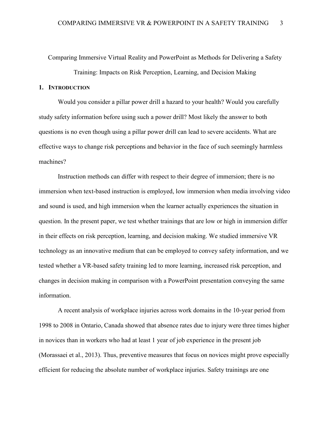Comparing Immersive Virtual Reality and PowerPoint as Methods for Delivering a Safety

Training: Impacts on Risk Perception, Learning, and Decision Making

## **1. INTRODUCTION**

Would you consider a pillar power drill a hazard to your health? Would you carefully study safety information before using such a power drill? Most likely the answer to both questions is no even though using a pillar power drill can lead to severe accidents. What are effective ways to change risk perceptions and behavior in the face of such seemingly harmless machines?

Instruction methods can differ with respect to their degree of immersion; there is no immersion when text-based instruction is employed, low immersion when media involving video and sound is used, and high immersion when the learner actually experiences the situation in question. In the present paper, we test whether trainings that are low or high in immersion differ in their effects on risk perception, learning, and decision making. We studied immersive VR technology as an innovative medium that can be employed to convey safety information, and we tested whether a VR-based safety training led to more learning, increased risk perception, and changes in decision making in comparison with a PowerPoint presentation conveying the same information.

A recent analysis of workplace injuries across work domains in the 10-year period from 1998 to 2008 in Ontario, Canada showed that absence rates due to injury were three times higher in novices than in workers who had at least 1 year of job experience in the present job (Morassaei et al., 2013). Thus, preventive measures that focus on novices might prove especially efficient for reducing the absolute number of workplace injuries. Safety trainings are one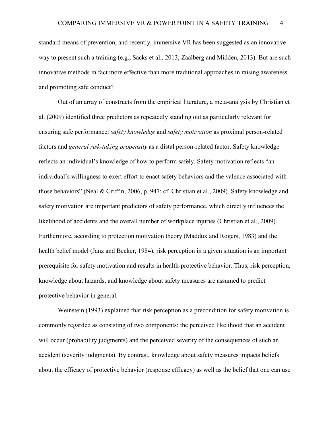standard means of prevention, and recently, immersive VR has been suggested as an innovative way to present such a training (e.g., Sacks et al., 2013; Zaalberg and Midden, 2013). But are such innovative methods in fact more effective than more traditional approaches in raising awareness and promoting safe conduct?

Out of an array of constructs from the empirical literature, a meta-analysis by Christian et al. (2009) identified three predictors as repeatedly standing out as particularly relevant for ensuring safe performance: *safety knowledge* and *safety motivation* as proximal person-related factors and *general risk-taking propensity* as a distal person-related factor. Safety knowledge reflects an individual's knowledge of how to perform safely. Safety motivation reflects "an individual's willingness to exert effort to enact safety behaviors and the valence associated with those behaviors" (Neal & Griffin, 2006, p. 947; cf. Christian et al., 2009). Safety knowledge and safety motivation are important predictors of safety performance, which directly influences the likelihood of accidents and the overall number of workplace injuries (Christian et al., 2009). Furthermore, according to protection motivation theory (Maddux and Rogers, 1983) and the health belief model (Janz and Becker, 1984), risk perception in a given situation is an important prerequisite for safety motivation and results in health-protective behavior. Thus, risk perception, knowledge about hazards, and knowledge about safety measures are assumed to predict protective behavior in general.

Weinstein (1993) explained that risk perception as a precondition for safety motivation is commonly regarded as consisting of two components: the perceived likelihood that an accident will occur (probability judgments) and the perceived severity of the consequences of such an accident (severity judgments). By contrast, knowledge about safety measures impacts beliefs about the efficacy of protective behavior (response efficacy) as well as the belief that one can use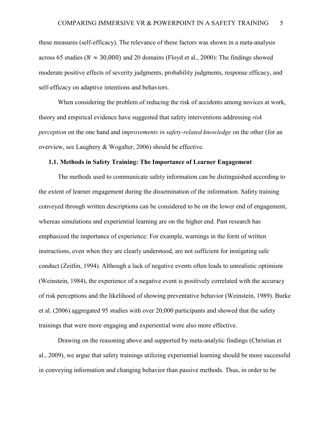these measures (self-efficacy). The relevance of these factors was shown in a meta-analysis across 65 studies ( $N \approx 30,000$ ) and 20 domains (Floyd et al., 2000): The findings showed moderate positive effects of severity judgments, probability judgments, response efficacy, and self-efficacy on adaptive intentions and behaviors.

When considering the problem of reducing the risk of accidents among novices at work, theory and empirical evidence have suggested that safety interventions addressing *risk perception* on the one hand and *improvements in safety-related knowledge* on the other (for an overview, see Laughery & Wogalter, 2006) should be effective.

### **1.1. Methods in Safety Training: The Importance of Learner Engagement**

The methods used to communicate safety information can be distinguished according to the extent of learner engagement during the dissemination of the information. Safety training conveyed through written descriptions can be considered to be on the lower end of engagement, whereas simulations and experiential learning are on the higher end. Past research has emphasized the importance of experience: For example, warnings in the form of written instructions, even when they are clearly understood, are not sufficient for instigating safe conduct (Zeitlin, 1994). Although a lack of negative events often leads to unrealistic optimism (Weinstein, 1984), the experience of a negative event is positively correlated with the accuracy of risk perceptions and the likelihood of showing preventative behavior (Weinstein, 1989). Burke et al. (2006) aggregated 95 studies with over 20,000 participants and showed that the safety trainings that were more engaging and experiential were also more effective.

Drawing on the reasoning above and supported by meta-analytic findings (Christian et al., 2009), we argue that safety trainings utilizing experiential learning should be more successful in conveying information and changing behavior than passive methods. Thus, in order to be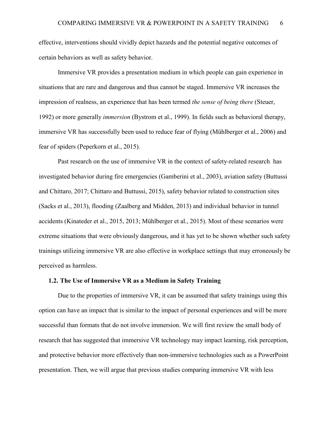effective, interventions should vividly depict hazards and the potential negative outcomes of certain behaviors as well as safety behavior.

Immersive VR provides a presentation medium in which people can gain experience in situations that are rare and dangerous and thus cannot be staged. Immersive VR increases the impression of realness, an experience that has been termed *the sense of being there* (Steuer, 1992) or more generally *immersion* (Bystrom et al., 1999). In fields such as behavioral therapy, immersive VR has successfully been used to reduce fear of flying (Mühlberger et al., 2006) and fear of spiders (Peperkorn et al., 2015).

Past research on the use of immersive VR in the context of safety-related research has investigated behavior during fire emergencies (Gamberini et al., 2003), aviation safety (Buttussi and Chittaro, 2017; Chittaro and Buttussi, 2015), safety behavior related to construction sites (Sacks et al., 2013), flooding (Zaalberg and Midden, 2013) and individual behavior in tunnel accidents (Kinateder et al., 2015, 2013; Mühlberger et al., 2015). Most of these scenarios were extreme situations that were obviously dangerous, and it has yet to be shown whether such safety trainings utilizing immersive VR are also effective in workplace settings that may erroneously be perceived as harmless.

### **1.2. The Use of Immersive VR as a Medium in Safety Training**

Due to the properties of immersive VR, it can be assumed that safety trainings using this option can have an impact that is similar to the impact of personal experiences and will be more successful than formats that do not involve immersion. We will first review the small body of research that has suggested that immersive VR technology may impact learning, risk perception, and protective behavior more effectively than non-immersive technologies such as a PowerPoint presentation. Then, we will argue that previous studies comparing immersive VR with less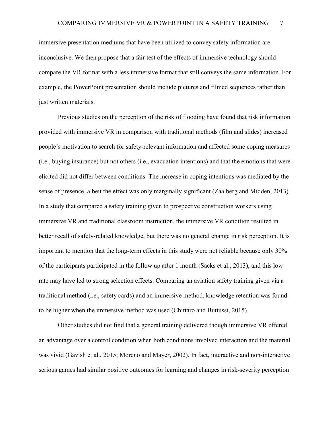immersive presentation mediums that have been utilized to convey safety information are inconclusive. We then propose that a fair test of the effects of immersive technology should compare the VR format with a less immersive format that still conveys the same information. For example, the PowerPoint presentation should include pictures and filmed sequences rather than just written materials.

Previous studies on the perception of the risk of flooding have found that risk information provided with immersive VR in comparison with traditional methods (film and slides) increased people's motivation to search for safety-relevant information and affected some coping measures (i.e., buying insurance) but not others (i.e., evacuation intentions) and that the emotions that were elicited did not differ between conditions. The increase in coping intentions was mediated by the sense of presence, albeit the effect was only marginally significant (Zaalberg and Midden, 2013). In a study that compared a safety training given to prospective construction workers using immersive VR and traditional classroom instruction, the immersive VR condition resulted in better recall of safety-related knowledge, but there was no general change in risk perception. It is important to mention that the long-term effects in this study were not reliable because only 30% of the participants participated in the follow up after 1 month (Sacks et al., 2013), and this low rate may have led to strong selection effects. Comparing an aviation safety training given via a traditional method (i.e., safety cards) and an immersive method, knowledge retention was found to be higher when the immersive method was used (Chittaro and Buttussi, 2015).

Other studies did not find that a general training delivered though immersive VR offered an advantage over a control condition when both conditions involved interaction and the material was vivid (Gavish et al., 2015; Moreno and Mayer, 2002). In fact, interactive and non-interactive serious games had similar positive outcomes for learning and changes in risk-severity perception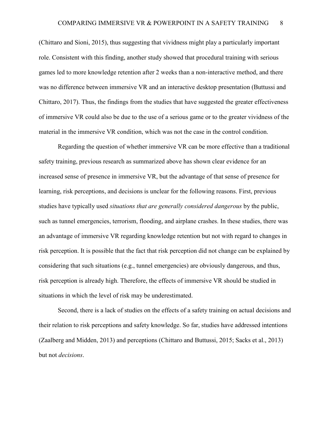(Chittaro and Sioni, 2015), thus suggesting that vividness might play a particularly important role. Consistent with this finding, another study showed that procedural training with serious games led to more knowledge retention after 2 weeks than a non-interactive method, and there was no difference between immersive VR and an interactive desktop presentation (Buttussi and Chittaro, 2017). Thus, the findings from the studies that have suggested the greater effectiveness of immersive VR could also be due to the use of a serious game or to the greater vividness of the material in the immersive VR condition, which was not the case in the control condition.

Regarding the question of whether immersive VR can be more effective than a traditional safety training, previous research as summarized above has shown clear evidence for an increased sense of presence in immersive VR, but the advantage of that sense of presence for learning, risk perceptions, and decisions is unclear for the following reasons. First, previous studies have typically used *situations that are generally considered dangerous* by the public, such as tunnel emergencies, terrorism, flooding, and airplane crashes. In these studies, there was an advantage of immersive VR regarding knowledge retention but not with regard to changes in risk perception. It is possible that the fact that risk perception did not change can be explained by considering that such situations (e.g., tunnel emergencies) are obviously dangerous, and thus, risk perception is already high. Therefore, the effects of immersive VR should be studied in situations in which the level of risk may be underestimated.

Second, there is a lack of studies on the effects of a safety training on actual decisions and their relation to risk perceptions and safety knowledge. So far, studies have addressed intentions (Zaalberg and Midden, 2013) and perceptions (Chittaro and Buttussi, 2015; Sacks et al., 2013) but not *decisions*.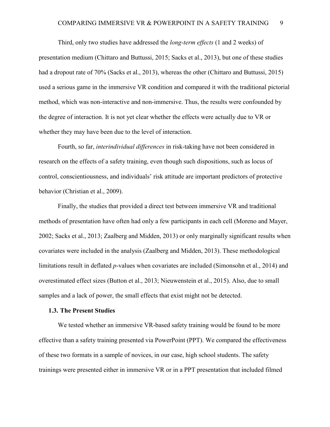Third, only two studies have addressed the *long-term effects* (1 and 2 weeks) of presentation medium (Chittaro and Buttussi, 2015; Sacks et al., 2013), but one of these studies had a dropout rate of 70% (Sacks et al., 2013), whereas the other (Chittaro and Buttussi, 2015) used a serious game in the immersive VR condition and compared it with the traditional pictorial method, which was non-interactive and non-immersive. Thus, the results were confounded by the degree of interaction. It is not yet clear whether the effects were actually due to VR or whether they may have been due to the level of interaction.

Fourth, so far, *interindividual differences* in risk-taking have not been considered in research on the effects of a safety training, even though such dispositions, such as locus of control, conscientiousness, and individuals' risk attitude are important predictors of protective behavior (Christian et al., 2009).

Finally, the studies that provided a direct test between immersive VR and traditional methods of presentation have often had only a few participants in each cell (Moreno and Mayer, 2002; Sacks et al., 2013; Zaalberg and Midden, 2013) or only marginally significant results when covariates were included in the analysis (Zaalberg and Midden, 2013). These methodological limitations result in deflated *p*-values when covariates are included (Simonsohn et al., 2014) and overestimated effect sizes (Button et al., 2013; Nieuwenstein et al., 2015). Also, due to small samples and a lack of power, the small effects that exist might not be detected.

#### **1.3. The Present Studies**

We tested whether an immersive VR-based safety training would be found to be more effective than a safety training presented via PowerPoint (PPT). We compared the effectiveness of these two formats in a sample of novices, in our case, high school students. The safety trainings were presented either in immersive VR or in a PPT presentation that included filmed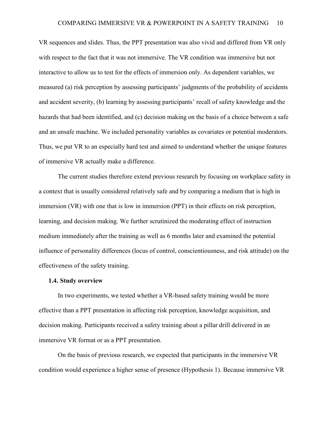VR sequences and slides. Thus, the PPT presentation was also vivid and differed from VR only with respect to the fact that it was not immersive. The VR condition was immersive but not interactive to allow us to test for the effects of immersion only. As dependent variables, we measured (a) risk perception by assessing participants' judgments of the probability of accidents and accident severity, (b) learning by assessing participants' recall of safety knowledge and the hazards that had been identified, and (c) decision making on the basis of a choice between a safe and an unsafe machine. We included personality variables as covariates or potential moderators. Thus, we put VR to an especially hard test and aimed to understand whether the unique features of immersive VR actually make a difference.

The current studies therefore extend previous research by focusing on workplace safety in a context that is usually considered relatively safe and by comparing a medium that is high in immersion (VR) with one that is low in immersion (PPT) in their effects on risk perception, learning, and decision making. We further scrutinized the moderating effect of instruction medium immediately after the training as well as 6 months later and examined the potential influence of personality differences (locus of control, conscientiousness, and risk attitude) on the effectiveness of the safety training.

#### **1.4. Study overview**

In two experiments, we tested whether a VR-based safety training would be more effective than a PPT presentation in affecting risk perception, knowledge acquisition, and decision making. Participants received a safety training about a pillar drill delivered in an immersive VR format or as a PPT presentation.

On the basis of previous research, we expected that participants in the immersive VR condition would experience a higher sense of presence (Hypothesis 1). Because immersive VR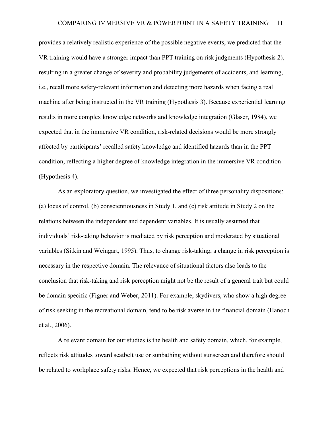provides a relatively realistic experience of the possible negative events, we predicted that the VR training would have a stronger impact than PPT training on risk judgments (Hypothesis 2), resulting in a greater change of severity and probability judgements of accidents, and learning, i.e., recall more safety-relevant information and detecting more hazards when facing a real machine after being instructed in the VR training (Hypothesis 3). Because experiential learning results in more complex knowledge networks and knowledge integration (Glaser, 1984), we expected that in the immersive VR condition, risk-related decisions would be more strongly affected by participants' recalled safety knowledge and identified hazards than in the PPT condition, reflecting a higher degree of knowledge integration in the immersive VR condition (Hypothesis 4).

As an exploratory question, we investigated the effect of three personality dispositions: (a) locus of control, (b) conscientiousness in Study 1, and (c) risk attitude in Study 2 on the relations between the independent and dependent variables. It is usually assumed that individuals' risk-taking behavior is mediated by risk perception and moderated by situational variables (Sitkin and Weingart, 1995). Thus, to change risk-taking, a change in risk perception is necessary in the respective domain. The relevance of situational factors also leads to the conclusion that risk-taking and risk perception might not be the result of a general trait but could be domain specific (Figner and Weber, 2011). For example, skydivers, who show a high degree of risk seeking in the recreational domain, tend to be risk averse in the financial domain (Hanoch et al., 2006).

A relevant domain for our studies is the health and safety domain, which, for example, reflects risk attitudes toward seatbelt use or sunbathing without sunscreen and therefore should be related to workplace safety risks. Hence, we expected that risk perceptions in the health and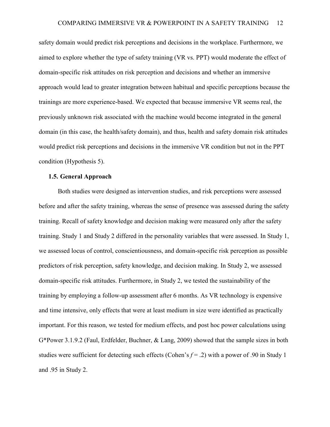safety domain would predict risk perceptions and decisions in the workplace. Furthermore, we aimed to explore whether the type of safety training (VR vs. PPT) would moderate the effect of domain-specific risk attitudes on risk perception and decisions and whether an immersive approach would lead to greater integration between habitual and specific perceptions because the trainings are more experience-based. We expected that because immersive VR seems real, the previously unknown risk associated with the machine would become integrated in the general domain (in this case, the health/safety domain), and thus, health and safety domain risk attitudes would predict risk perceptions and decisions in the immersive VR condition but not in the PPT condition (Hypothesis 5).

### **1.5. General Approach**

Both studies were designed as intervention studies, and risk perceptions were assessed before and after the safety training, whereas the sense of presence was assessed during the safety training. Recall of safety knowledge and decision making were measured only after the safety training. Study 1 and Study 2 differed in the personality variables that were assessed. In Study 1, we assessed locus of control, conscientiousness, and domain-specific risk perception as possible predictors of risk perception, safety knowledge, and decision making. In Study 2, we assessed domain-specific risk attitudes. Furthermore, in Study 2, we tested the sustainability of the training by employing a follow-up assessment after 6 months. As VR technology is expensive and time intensive, only effects that were at least medium in size were identified as practically important. For this reason, we tested for medium effects, and post hoc power calculations using G\*Power 3.1.9.2 (Faul, Erdfelder, Buchner, & Lang, 2009) showed that the sample sizes in both studies were sufficient for detecting such effects (Cohen's *f* = .2) with a power of .90 in Study 1 and .95 in Study 2.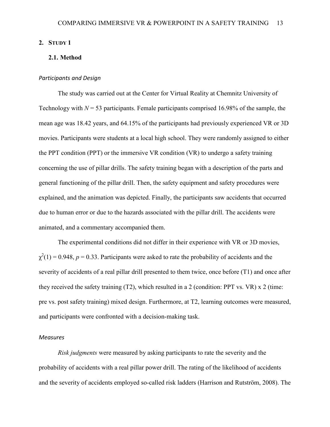## **2. STUDY 1**

## **2.1. Method**

#### *Participants and Design*

The study was carried out at the Center for Virtual Reality at Chemnitz University of Technology with  $N = 53$  participants. Female participants comprised 16.98% of the sample, the mean age was 18.42 years, and 64.15% of the participants had previously experienced VR or 3D movies. Participants were students at a local high school. They were randomly assigned to either the PPT condition (PPT) or the immersive VR condition (VR) to undergo a safety training concerning the use of pillar drills. The safety training began with a description of the parts and general functioning of the pillar drill. Then, the safety equipment and safety procedures were explained, and the animation was depicted. Finally, the participants saw accidents that occurred due to human error or due to the hazards associated with the pillar drill. The accidents were animated, and a commentary accompanied them.

The experimental conditions did not differ in their experience with VR or 3D movies,  $\chi^2(1) = 0.948$ ,  $p = 0.33$ . Participants were asked to rate the probability of accidents and the severity of accidents of a real pillar drill presented to them twice, once before (T1) and once after they received the safety training (T2), which resulted in a 2 (condition: PPT vs. VR) x 2 (time: pre vs. post safety training) mixed design. Furthermore, at T2, learning outcomes were measured, and participants were confronted with a decision-making task.

#### *Measures*

*Risk judgments* were measured by asking participants to rate the severity and the probability of accidents with a real pillar power drill. The rating of the likelihood of accidents and the severity of accidents employed so-called risk ladders (Harrison and Rutström, 2008). The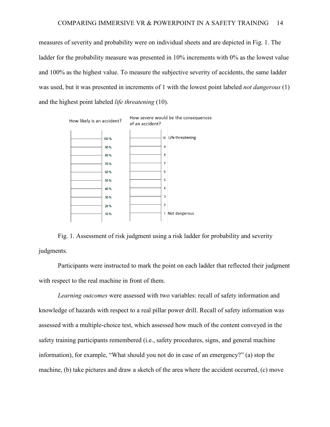measures of severity and probability were on individual sheets and are depicted in [Fig. 1.](#page-13-0) The ladder for the probability measure was presented in 10% increments with 0% as the lowest value and 100% as the highest value. To measure the subjective severity of accidents, the same ladder was used, but it was presented in increments of 1 with the lowest point labeled *not dangerous* (1) and the highest point labeled *life threatening* (10).



<span id="page-13-0"></span>Fig. 1. Assessment of risk judgment using a risk ladder for probability and severity judgments.

Participants were instructed to mark the point on each ladder that reflected their judgment with respect to the real machine in front of them.

*Learning outcomes* were assessed with two variables: recall of safety information and knowledge of hazards with respect to a real pillar power drill. Recall of safety information was assessed with a multiple-choice test, which assessed how much of the content conveyed in the safety training participants remembered (i.e., safety procedures, signs, and general machine information), for example, "What should you not do in case of an emergency?" (a) stop the machine, (b) take pictures and draw a sketch of the area where the accident occurred, (c) move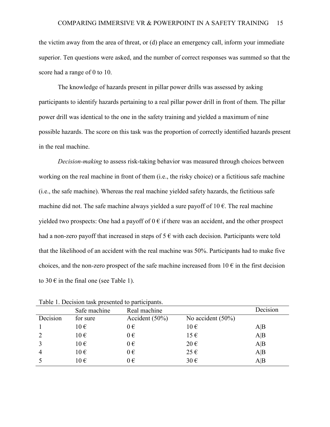the victim away from the area of threat, or (d) place an emergency call, inform your immediate superior. Ten questions were asked, and the number of correct responses was summed so that the score had a range of 0 to 10.

The knowledge of hazards present in pillar power drills was assessed by asking participants to identify hazards pertaining to a real pillar power drill in front of them. The pillar power drill was identical to the one in the safety training and yielded a maximum of nine possible hazards. The score on this task was the proportion of correctly identified hazards present in the real machine.

*Decision-making* to assess risk-taking behavior was measured through choices between working on the real machine in front of them (i.e., the risky choice) or a fictitious safe machine (i.e., the safe machine). Whereas the real machine yielded safety hazards, the fictitious safe machine did not. The safe machine always yielded a sure payoff of  $10 \text{ } \epsilon$ . The real machine yielded two prospects: One had a payoff of  $0 \in \mathbb{R}$  if there was an accident, and the other prospect had a non-zero payoff that increased in steps of  $5 \in \mathbb{R}$  with each decision. Participants were told that the likelihood of an accident with the real machine was 50%. Participants had to make five choices, and the non-zero prospect of the safe machine increased from  $10 \in \mathbb{R}$  in the first decision to 30  $\epsilon$  in the final one (see Table 1).

|          | Safe machine | Real machine      |                      | Decision |
|----------|--------------|-------------------|----------------------|----------|
| Decision | for sure     | Accident $(50\%)$ | No accident $(50\%)$ |          |
|          | $10 \in$     | $0 \in$           | $10 \in$             | A B      |
|          | $10 \in$     | $0 \in$           | $15 \in$             | A B      |
|          | $10 \in$     | $0 \in$           | $20 \in$             | A B      |
| 4        | $10 \in$     | $0 \in$           | $25 \in$             | A B      |
|          | $10 \in$     | $0 \in$           | $30 \in$             | A B      |

Table 1. Decision task presented to participants.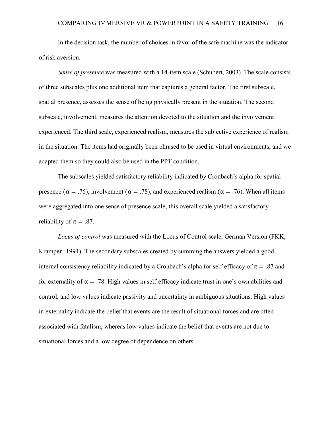In the decision task, the number of choices in favor of the safe machine was the indicator of risk aversion.

*Sense of presence* was measured with a 14-item scale (Schubert, 2003). The scale consists of three subscales plus one additional item that captures a general factor. The first subscale, spatial presence, assesses the sense of being physically present in the situation. The second subscale, involvement, measures the attention devoted to the situation and the involvement experienced. The third scale, experienced realism, measures the subjective experience of realism in the situation. The items had originally been phrased to be used in virtual environments, and we adapted them so they could also be used in the PPT condition.

The subscales yielded satisfactory reliability indicated by Cronbach's alpha for spatial presence ( $\alpha = .76$ ), involvement ( $\alpha = .78$ ), and experienced realism ( $\alpha = .76$ ). When all items were aggregated into one sense of presence scale, this overall scale yielded a satisfactory reliability of  $\alpha = .87$ .

*Locus of control* was measured with the Locus of Control scale, German Version (FKK, Krampen, 1991). The secondary subscales created by summing the answers yielded a good internal consistency reliability indicated by a Cronbach's alpha for self-efficacy of  $\alpha = .87$  and for externality of  $\alpha = 0.78$ . High values in self-efficacy indicate trust in one's own abilities and control, and low values indicate passivity and uncertainty in ambiguous situations. High values in externality indicate the belief that events are the result of situational forces and are often associated with fatalism, whereas low values indicate the belief that events are not due to situational forces and a low degree of dependence on others.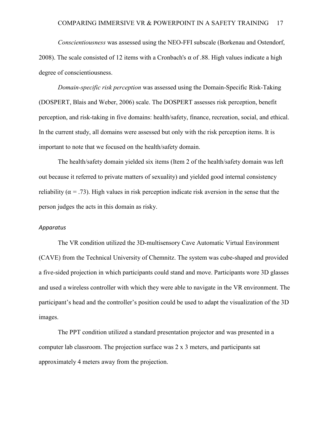*Conscientiousness* was assessed using the NEO-FFI subscale (Borkenau and Ostendorf, 2008). The scale consisted of 12 items with a Cronbach's  $\alpha$  of .88. High values indicate a high degree of conscientiousness.

*Domain-specific risk perception* was assessed using the Domain-Specific Risk-Taking (DOSPERT, Blais and Weber, 2006) scale. The DOSPERT assesses risk perception, benefit perception, and risk-taking in five domains: health/safety, finance, recreation, social, and ethical. In the current study, all domains were assessed but only with the risk perception items. It is important to note that we focused on the health/safety domain.

The health/safety domain yielded six items (Item 2 of the health/safety domain was left out because it referred to private matters of sexuality) and yielded good internal consistency reliability ( $\alpha$  = .73). High values in risk perception indicate risk aversion in the sense that the person judges the acts in this domain as risky.

#### *Apparatus*

The VR condition utilized the 3D-multisensory Cave Automatic Virtual Environment (CAVE) from the Technical University of Chemnitz. The system was cube-shaped and provided a five-sided projection in which participants could stand and move. Participants wore 3D glasses and used a wireless controller with which they were able to navigate in the VR environment. The participant's head and the controller's position could be used to adapt the visualization of the 3D images.

The PPT condition utilized a standard presentation projector and was presented in a computer lab classroom. The projection surface was 2 x 3 meters, and participants sat approximately 4 meters away from the projection.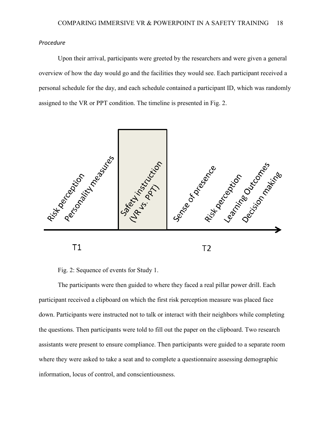## *Procedure*

Upon their arrival, participants were greeted by the researchers and were given a general overview of how the day would go and the facilities they would see. Each participant received a personal schedule for the day, and each schedule contained a participant ID, which was randomly assigned to the VR or PPT condition. The timeline is presented in [Fig. 2.](#page-17-0)



Fig. 2: Sequence of events for Study 1.

<span id="page-17-0"></span>The participants were then guided to where they faced a real pillar power drill. Each participant received a clipboard on which the first risk perception measure was placed face down. Participants were instructed not to talk or interact with their neighbors while completing the questions. Then participants were told to fill out the paper on the clipboard. Two research assistants were present to ensure compliance. Then participants were guided to a separate room where they were asked to take a seat and to complete a questionnaire assessing demographic information, locus of control, and conscientiousness.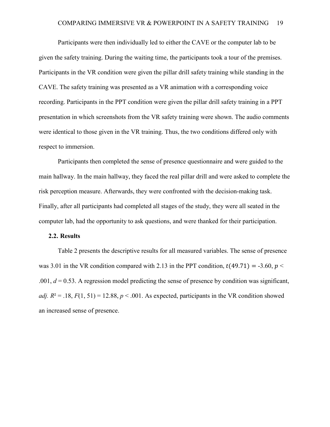Participants were then individually led to either the CAVE or the computer lab to be given the safety training. During the waiting time, the participants took a tour of the premises. Participants in the VR condition were given the pillar drill safety training while standing in the CAVE. The safety training was presented as a VR animation with a corresponding voice recording. Participants in the PPT condition were given the pillar drill safety training in a PPT presentation in which screenshots from the VR safety training were shown. The audio comments were identical to those given in the VR training. Thus, the two conditions differed only with respect to immersion.

Participants then completed the sense of presence questionnaire and were guided to the main hallway. In the main hallway, they faced the real pillar drill and were asked to complete the risk perception measure. Afterwards, they were confronted with the decision-making task. Finally, after all participants had completed all stages of the study, they were all seated in the computer lab, had the opportunity to ask questions, and were thanked for their participation.

### **2.2. Results**

[Table 2](#page-19-0) presents the descriptive results for all measured variables. The sense of presence was 3.01 in the VR condition compared with 2.13 in the PPT condition,  $t(49.71) = -3.60$ ,  $p <$ .001,  $d = 0.53$ . A regression model predicting the sense of presence by condition was significant, *adj.*  $R^2 = .18$ ,  $F(1, 51) = 12.88$ ,  $p < .001$ . As expected, participants in the VR condition showed an increased sense of presence.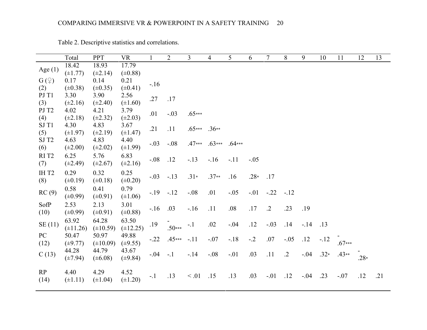<span id="page-19-0"></span>

|                   | Total         | PPT           | <b>VR</b>     |         | $\overline{2}$ | 3          | 4        | 5        | 6      |            | 8          | 9      | 10     | 11       | 12        | 13  |
|-------------------|---------------|---------------|---------------|---------|----------------|------------|----------|----------|--------|------------|------------|--------|--------|----------|-----------|-----|
| Age $(1)$         | 18.42         | 18.93         | 17.79         |         |                |            |          |          |        |            |            |        |        |          |           |     |
|                   | $(\pm 1.77)$  | $(\pm 2.14)$  | $(\pm 0.88)$  |         |                |            |          |          |        |            |            |        |        |          |           |     |
| $G(\varphi)$      | 0.17          | 0.14          | 0.21          | $-.16$  |                |            |          |          |        |            |            |        |        |          |           |     |
| (2)               | $(\pm 0.38)$  | $(\pm 0.35)$  | $(\pm 0.41)$  |         |                |            |          |          |        |            |            |        |        |          |           |     |
| PJ T1             | 3.30          | 3.90          | 2.56          | .27     | .17            |            |          |          |        |            |            |        |        |          |           |     |
| (3)               | $(\pm 2.16)$  | $(\pm 2.40)$  | $(\pm 1.60)$  |         |                |            |          |          |        |            |            |        |        |          |           |     |
| PJ T <sub>2</sub> | 4.02          | 4.21          | 3.79          | .01     | $-.03$         | $.65***$   |          |          |        |            |            |        |        |          |           |     |
| (4)               | $(\pm 2.18)$  | $(\pm 2.32)$  | $(\pm 2.03)$  |         |                |            |          |          |        |            |            |        |        |          |           |     |
| SJ T1             | 4.30          | 4.83          | 3.67          | .21     | .11            | $.65***$   | $.36**$  |          |        |            |            |        |        |          |           |     |
| (5)               | $(\pm 1.97)$  | $(\pm 2.19)$  | $(\pm 1.47)$  |         |                |            |          |          |        |            |            |        |        |          |           |     |
| SJ T <sub>2</sub> | 4.63          | 4.83          | 4.40          | $-.03$  | $-.08$         | $.47***$   | $.63***$ | $.64***$ |        |            |            |        |        |          |           |     |
| (6)               | $(\pm 2.00)$  | $(\pm 2.02)$  | $(\pm 1.99)$  |         |                |            |          |          |        |            |            |        |        |          |           |     |
| RIT <sub>2</sub>  | 6.25          | 5.76          | 6.83          | $-0.08$ | .12            | $-13$      | $-16$    | $-.11$   | $-.05$ |            |            |        |        |          |           |     |
| (7)               | $(\pm 2.49)$  | $(\pm 2.67)$  | $(\pm 2.16)$  |         |                |            |          |          |        |            |            |        |        |          |           |     |
| IHT2              | 0.29          | 0.32          | 0.25          | $-.03$  | $-.13$         | $.31*$     | $.37**$  | .16      | $.28*$ | .17        |            |        |        |          |           |     |
| (8)               | $(\pm 0.19)$  | $(\pm 0.18)$  | $(\pm 0.20)$  |         |                |            |          |          |        |            |            |        |        |          |           |     |
| RC(9)             | 0.58          | 0.41          | 0.79          | $-19$   | $-.12$         | $-.08$     | .01      | $-.05$   | $-.01$ | $-.22$     | $-.12$     |        |        |          |           |     |
|                   | $(\pm 0.99)$  | $(\pm 0.91)$  | $(\pm 1.06)$  |         |                |            |          |          |        |            |            |        |        |          |           |     |
| SofP              | 2.53          | 2.13          | 3.01          | $-16$   | .03            | $-16$      | .11      | $.08\,$  | .17    | $\cdot$ .2 | .23        | .19    |        |          |           |     |
| (10)              | $(\pm 0.99)$  | $(\pm 0.91)$  | $(\pm 0.88)$  |         |                |            |          |          |        |            |            |        |        |          |           |     |
|                   | 63.92         | 64.28         | 63.50         |         |                |            |          |          |        |            | .14        |        |        |          |           |     |
| SE(11)            | $(\pm 11.26)$ | $(\pm 10.59)$ | $(\pm 12.25)$ | .19     | $.50***$       | $-.1$      | .02      | $-.04$   | .12    | $-.03$     |            | $-14$  | .13    |          |           |     |
| PC                | 50.47         | 50.97         | 49.88         | $-.22$  | $.45***$       | $-.11$     | $-.07$   | $-.18$   | $-.2$  | .07        | $-.05$     | .12    | $-.12$ |          |           |     |
| (12)              | $(\pm 9.77)$  | $(\pm 10.09)$ | $(\pm 9.55)$  |         |                |            |          |          |        |            |            |        |        | $.67***$ |           |     |
| C(13)             | 44.28         | 44.79         | 43.67         | $-.04$  | $-.1$          | $-14$      | $-.08$   | $-.01$   | .03    | .11        | $\cdot$ .2 | $-.04$ | $.32*$ | $.43**$  |           |     |
|                   | $(\pm 7.94)$  | $(\pm 6.08)$  | $(\pm 9.84)$  |         |                |            |          |          |        |            |            |        |        |          | -<br>.28* |     |
|                   |               |               |               |         |                |            |          |          |        |            |            |        |        |          |           |     |
| RP                | 4.40          | 4.29          | 4.52          | $-.1$   | .13            | $\leq .01$ | .15      | .13      | .03    | $-.01$     | .12        | $-.04$ | .23    | $-.07$   | .12       | .21 |
| (14)              | $(\pm 1.11)$  | $(\pm 1.04)$  | $(\pm 1.20)$  |         |                |            |          |          |        |            |            |        |        |          |           |     |

Table 2. Descriptive statistics and correlations.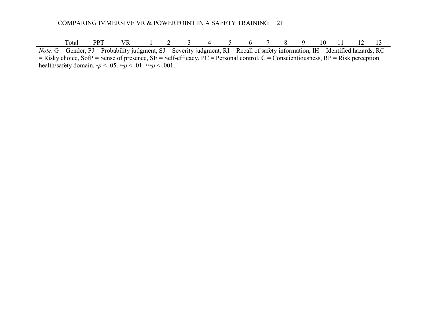| $\sim$<br>Total | <u>uw</u> | . |  |  |  |  | ſ<br>$\mathbf{v}$ | . . | . .<br>. . |  |
|-----------------|-----------|---|--|--|--|--|-------------------|-----|------------|--|

*Note*. G = Gender, PJ = Probability judgment, SJ = Severity judgment, RI = Recall of safety information, IH = Identified hazards, RC  $=$  Risky choice, SofP = Sense of presence, SE = Self-efficacy, PC = Personal control, C = Conscientiousness, RP = Risk perception health/safety domain. \**p* < .05. \*\**p* < .01. \*\*\**p* < .001.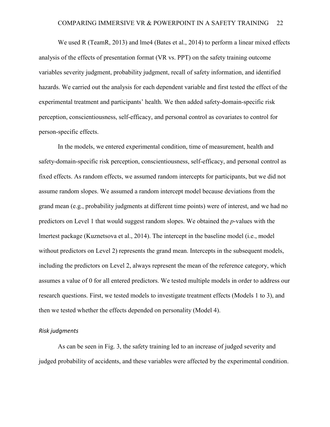We used R (TeamR, 2013) and lme4 (Bates et al., 2014) to perform a linear mixed effects analysis of the effects of presentation format (VR vs. PPT) on the safety training outcome variables severity judgment, probability judgment, recall of safety information, and identified hazards. We carried out the analysis for each dependent variable and first tested the effect of the experimental treatment and participants' health. We then added safety-domain-specific risk perception, conscientiousness, self-efficacy, and personal control as covariates to control for person-specific effects.

In the models, we entered experimental condition, time of measurement, health and safety-domain-specific risk perception, conscientiousness, self-efficacy, and personal control as fixed effects. As random effects, we assumed random intercepts for participants, but we did not assume random slopes. We assumed a random intercept model because deviations from the grand mean (e.g., probability judgments at different time points) were of interest, and we had no predictors on Level 1 that would suggest random slopes. We obtained the *p*-values with the lmertest package (Kuznetsova et al., 2014). The intercept in the baseline model (i.e., model without predictors on Level 2) represents the grand mean. Intercepts in the subsequent models, including the predictors on Level 2, always represent the mean of the reference category, which assumes a value of 0 for all entered predictors. We tested multiple models in order to address our research questions. First, we tested models to investigate treatment effects (Models 1 to 3), and then we tested whether the effects depended on personality (Model 4).

### *Risk judgments*

As can be seen in [Fig. 3,](#page-22-0) the safety training led to an increase of judged severity and judged probability of accidents, and these variables were affected by the experimental condition.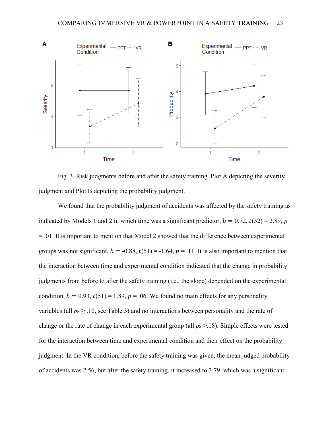

<span id="page-22-0"></span>Fig. 3. Risk judgments before and after the safety training. Plot A depicting the severity judgment and Plot B depicting the probability judgment.

We found that the probability judgment of accidents was affected by the safety training as indicated by Models 1 and 2 in which time was a significant predictor,  $b = 0.72$ ,  $t(52) = 2.89$ , p = .01. It is important to mention that Model 2 showed that the difference between experimental groups was not significant,  $b = -0.88$ ,  $t(51) = -1.64$ ,  $p = .11$ . It is also important to mention that the interaction between time and experimental condition indicated that the change in probability judgments from before to after the safety training (i.e., the slope) depended on the experimental condition,  $b = 0.93$ ,  $t(51) = 1.89$ ,  $p = .06$ . We found no main effects for any personality variables (all  $ps \geq 0.10$ , see [Table 3\)](#page-24-0) and no interactions between personality and the rate of change or the rate of change in each experimental group (all *p*s >.18). Simple effects were tested for the interaction between time and experimental condition and their effect on the probability judgment. In the VR condition, before the safety training was given, the mean judged probability of accidents was 2.56, but after the safety training, it increased to 3.79, which was a significant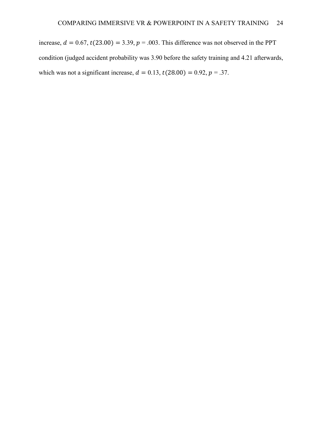increase,  $d = 0.67$ ,  $t(23.00) = 3.39$ ,  $p = .003$ . This difference was not observed in the PPT condition (judged accident probability was 3.90 before the safety training and 4.21 afterwards, which was not a significant increase,  $d = 0.13$ ,  $t(28.00) = 0.92$ ,  $p = .37$ .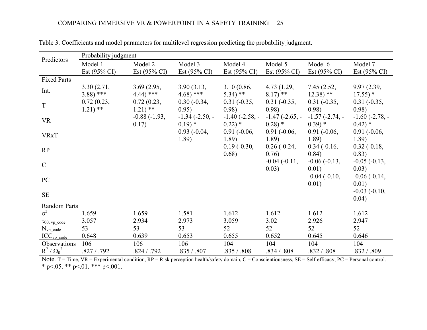<span id="page-24-0"></span>

|                              | Probability judgment    |                         |                         |                         |                         |                         |                         |
|------------------------------|-------------------------|-------------------------|-------------------------|-------------------------|-------------------------|-------------------------|-------------------------|
| Predictors                   | Model 1                 | Model 2                 | Model 3                 | Model 4                 | Model 5                 | Model 6                 | Model 7                 |
|                              | Est $(95\% \text{ CI})$ | Est $(95\% \text{ CI})$ | Est $(95\% \text{ CI})$ | Est $(95\% \text{ CI})$ | Est $(95\% \text{ CI})$ | Est $(95\% \text{ CI})$ | Est $(95\% \text{ CI})$ |
| <b>Fixed Parts</b>           |                         |                         |                         |                         |                         |                         |                         |
| Int.                         | 3.30(2.71,              | 3.69(2.95,              | 3.90(3.13,              | 3.10(0.86,              | 4.73(1.29,              | 7.45(2.52,              | 9.97 (2.39,             |
|                              | $3.88$ ) ***            | $4.44$ ) ***            | $4.68$ ) ***            | $5.34$ ) **             | $8.17$ <sup>**</sup>    | $12.38$ <sup>**</sup>   | $17.55$ ) *             |
| $\mathbf T$                  | 0.72(0.23,<br>$1.21$ ** | 0.72(0.23,<br>$1.21$ ** | $0.30(-0.34,$<br>0.95)  | $0.31 (-0.35,$<br>0.98) | $0.31 (-0.35,$<br>0.98) | $0.31 (-0.35,$<br>0.98) | $0.31 (-0.35,$<br>0.98) |
| <b>VR</b>                    |                         | $-0.88(-1.93,$          | $-1.34(-2.50,-$         | $-1.40$ ( $-2.58$ , $-$ | $-1.47(-2.65, -$        | $-1.57(-2.74, -$        | $-1.60$ ( $-2.78$ , $-$ |
|                              |                         | 0.17)                   | $0.19$ *                | $0.22)$ *               | $0.28$ *                | $0.39$ *                | $0.42$ *                |
| <b>VRxT</b>                  |                         |                         | $0.93(-0.04,$           | $0.91 (-0.06,$          | $0.91 (-0.06,$          | $0.91(-0.06,$           | $0.91 (-0.06,$          |
|                              |                         |                         | 1.89                    | 1.89                    | 1.89                    | 1.89                    | 1.89                    |
| RP                           |                         |                         |                         | $0.19(-0.30,$           | $0.26(-0.24,$           | $0.34(-0.16,$           | $0.32(-0.18,$           |
|                              |                         |                         |                         | 0.68)                   | 0.76)                   | 0.84)                   | 0.83)                   |
| $\mathcal{C}$                |                         |                         |                         |                         | $-0.04(-0.11,$<br>0.03) | $-0.06(-0.13,$<br>0.01) | $-0.05(-0.13,$<br>0.03) |
|                              |                         |                         |                         |                         |                         | $-0.04$ $(-0.10,$       | $-0.06(-0.14,$          |
| PC                           |                         |                         |                         |                         |                         | 0.01)                   | 0.01)                   |
| $\rm SE$                     |                         |                         |                         |                         |                         |                         | $-0.03$ $(-0.10,$       |
|                              |                         |                         |                         |                         |                         |                         | 0.04)                   |
| Random Parts                 |                         |                         |                         |                         |                         |                         |                         |
| $\sigma^2$                   | 1.659                   | 1.659                   | 1.581                   | 1.612                   | 1.612                   | 1.612                   | 1.612                   |
| $\tau_{00, \text{ vp code}}$ | 3.057                   | 2.934                   | 2.973                   | 3.059                   | 3.02                    | 2.926                   | 2.947                   |
| $N_{vp\_code}$               | 53                      | 53                      | 53                      | 52                      | 52                      | 52                      | 52                      |
| $ICC_{vp\ code}$             | 0.648                   | 0.639                   | 0.653                   | 0.655                   | 0.652                   | 0.645                   | 0.646                   |
| Observations                 | 106                     | 106                     | 106                     | 104                     | 104                     | 104                     | 104                     |
| $R^2/\Omega_0^2$             | .827 / .792             | .824 / .792             | .835 / .807             | .835 / .808             | .834 / .808             | .832 / .808             | .832 / .809             |

Table 3. Coefficients and model parameters for multilevel regression predicting the probability judgment.

Note. T = Time, VR = Experimental condition, RP = Risk perception health/safety domain, C = Conscientiousness, SE = Self-efficacy, PC = Personal control. \* p<.05. \*\* p<.01. \*\*\* p<.001.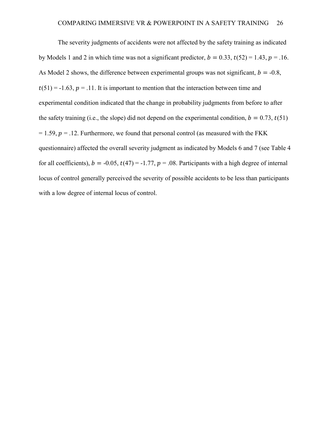The severity judgments of accidents were not affected by the safety training as indicated by Models 1 and 2 in which time was not a significant predictor,  $b = 0.33$ ,  $t(52) = 1.43$ ,  $p = 0.16$ . As Model 2 shows, the difference between experimental groups was not significant,  $b = -0.8$ ,  $t(51) = -1.63$ ,  $p = .11$ . It is important to mention that the interaction between time and experimental condition indicated that the change in probability judgments from before to after the safety training (i.e., the slope) did not depend on the experimental condition,  $b = 0.73$ ,  $t(51)$  $= 1.59$ ,  $p = 0.12$ . Furthermore, we found that personal control (as measured with the FKK questionnaire) affected the overall severity judgment as indicated by Models 6 and 7 (see [Table 4](#page-26-0) for all coefficients),  $b = -0.05$ ,  $t(47) = -1.77$ ,  $p = 0.08$ . Participants with a high degree of internal locus of control generally perceived the severity of possible accidents to be less than participants with a low degree of internal locus of control.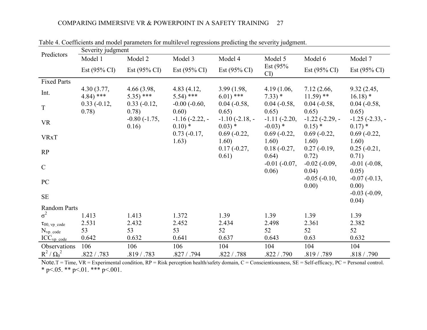<span id="page-26-0"></span>

| Predictors                   | Severity judgment                   |                            |                             |                              |                             |                                 |                                 |
|------------------------------|-------------------------------------|----------------------------|-----------------------------|------------------------------|-----------------------------|---------------------------------|---------------------------------|
|                              | Model 1                             | Model 2                    | Model 3                     | Model 4                      | Model 5                     | Model 6                         | Model 7                         |
|                              | Est $(95\% \text{ CI})$             | Est $(95\% \text{ CI})$    | Est $(95\% \text{ CI})$     | Est $(95\% \text{ CI})$      | Est $(95%$<br>CI)           | Est $(95\% \text{ CI})$         | Est $(95\% \text{ CI})$         |
| <b>Fixed Parts</b>           |                                     |                            |                             |                              |                             |                                 |                                 |
| Int.                         | 4.30(3.77,<br>$4.84$ <sup>***</sup> | 4.66(3.98,<br>$5.35$ ) *** | 4.83(4.12,<br>$5.54$ ) ***  | 3.99(1.98,<br>$6.01$ ***     | 4.19(1.06,<br>$7.33) *$     | 7.12(2.66,<br>$11.59$ **        | 9.32(2.45,<br>$16.18$ *         |
| $\mathbf T$                  | $0.33(-0.12,$<br>0.78)              | $0.33(-0.12,$<br>0.78)     | $-0.00$ $(-0.60,$<br>0.60)  | $0.04 (-0.58,$<br>0.65)      | $0.04 (-0.58,$<br>0.65)     | $0.04 (-0.58,$<br>0.65)         | $0.04 (-0.58,$<br>0.65)         |
| VR                           |                                     | $-0.80(-1.75,$<br>0.16)    | $-1.16(-2.22,-$<br>$0.10)*$ | $-1.10(-2.18,-$<br>$0.03)$ * | $-1.11(-2.20,$<br>$-0.03$ * | $-1.22$ $(-2.29, -$<br>$0.15$ * | $-1.25$ $(-2.33, -$<br>$0.17$ * |
| <b>VRxT</b>                  |                                     |                            | $0.73(-0.17,$<br>1.63)      | $0.69(-0.22,$<br>1.60)       | $0.69(-0.22,$<br>1.60)      | $0.69(-0.22,$<br>1.60)          | $0.69(-0.22,$<br>1.60)          |
| RP                           |                                     |                            |                             | $0.17(-0.27,$<br>0.61)       | $0.18(-0.27,$<br>0.64)      | $0.27(-0.19,$<br>0.72)          | $0.25(-0.21,$<br>0.71)          |
| $\mathcal{C}$                |                                     |                            |                             |                              | $-0.01$ $(-0.07,$<br>0.06)  | $-0.02$ $(-0.09,$<br>0.04)      | $-0.01$ $(-0.08,$<br>0.05)      |
| PC                           |                                     |                            |                             |                              |                             | $-0.05$ $(-0.10,$<br>0.00)      | $-0.07(-0.13,$<br>0.00)         |
| $\rm SE$                     |                                     |                            |                             |                              |                             |                                 | $-0.03$ $(-0.09,$<br>0.04)      |
| Random Parts                 |                                     |                            |                             |                              |                             |                                 |                                 |
| $\sigma^2$                   | 1.413                               | 1.413                      | 1.372                       | 1.39                         | 1.39                        | 1.39                            | 1.39                            |
| $\tau_{00, \text{ vp code}}$ | 2.531                               | 2.432                      | 2.452                       | 2.434                        | 2.498                       | 2.361                           | 2.382                           |
| $N_{vp\_code}$               | 53                                  | 53                         | 53                          | 52                           | 52                          | 52                              | 52                              |
| $ICC_{vp\ code}$             | 0.642                               | 0.632                      | 0.641                       | 0.637                        | 0.643                       | 0.63                            | 0.632                           |
| Observations                 | 106                                 | 106                        | 106                         | 104                          | 104                         | 104                             | 104                             |
| $R^2/\Omega_0^2$             | .822 / .783                         | .819 / .783                | .827 / .794                 | .822 / .788                  | .822 / .790                 | .819 / .789                     | .818 / .790                     |

Table 4. Coefficients and model parameters for multilevel regressions predicting the severity judgment.

Note.T = Time,  $VR =$  Experimental condition,  $RP =$  Risk perception health/safety domain,  $C =$  Conscientiousness,  $SE =$  Self-efficacy,  $PC =$  Personal control. \* p<.05. \*\* p<.01. \*\*\* p<.001.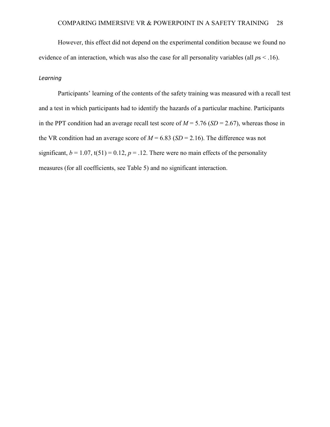However, this effect did not depend on the experimental condition because we found no evidence of an interaction, which was also the case for all personality variables (all *p*s < .16).

## *Learning*

Participants' learning of the contents of the safety training was measured with a recall test and a test in which participants had to identify the hazards of a particular machine. Participants in the PPT condition had an average recall test score of  $M = 5.76$  (*SD* = 2.67), whereas those in the VR condition had an average score of  $M = 6.83$  (*SD* = 2.16). The difference was not significant,  $b = 1.07$ ,  $t(51) = 0.12$ ,  $p = .12$ . There were no main effects of the personality measures (for all coefficients, see [Table 5\)](#page-28-0) and no significant interaction.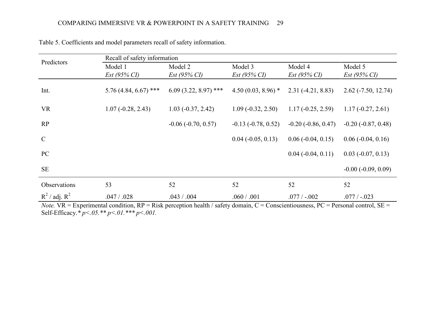| Predictors         | Recall of safety information |                         |                       |                         |                             |
|--------------------|------------------------------|-------------------------|-----------------------|-------------------------|-----------------------------|
|                    | Model 1                      | Model 2                 | Model 3               | Model 4                 | Model 5                     |
|                    | $Est (95\% CI)$              | $Est (95\% CI)$         | $Est (95\% CI)$       | $Est (95\% CI)$         | $Est (95\% CI)$             |
| Int.               | 5.76 (4.84, 6.67) ***        | $6.09(3.22, 8.97)$ ***  | 4.50 $(0.03, 8.96)$ * | $2.31(-4.21, 8.83)$     | $2.62$ ( $-7.50$ , 12.74)   |
| <b>VR</b>          | $1.07(-0.28, 2.43)$          | $1.03(-0.37, 2.42)$     | $1.09(-0.32, 2.50)$   | $1.17(-0.25, 2.59)$     | $1.17(-0.27, 2.61)$         |
| RP                 |                              | $-0.06$ $(-0.70, 0.57)$ | $-0.13(-0.78, 0.52)$  | $-0.20$ $(-0.86, 0.47)$ | $-0.20$ $(-0.87, 0.48)$     |
| $\mathcal{C}$      |                              |                         | $0.04 (-0.05, 0.13)$  | $0.06(-0.04, 0.15)$     | $0.06$ ( $-0.04$ , $0.16$ ) |
| PC                 |                              |                         |                       | $0.04 (-0.04, 0.11)$    | $0.03$ ( $-0.07$ , $0.13$ ) |
| <b>SE</b>          |                              |                         |                       |                         | $-0.00$ $(-0.09, 0.09)$     |
| Observations       | 53                           | 52                      | 52                    | 52                      | 52                          |
| $R^2$ / adj. $R^2$ | .047 / .028                  | .043 / .004             | .060 / .001           | $.077/ -.002$           | $.077/ -.023$               |

Table 5. Coefficients and model parameters recall of safety information.

<span id="page-28-0"></span>*Note.* VR = Experimental condition, RP = Risk perception health / safety domain, C = Conscientiousness, PC = Personal control, SE = Self-Efficacy.*\* p<.05.\*\* p<.01.\*\*\* p<.001.*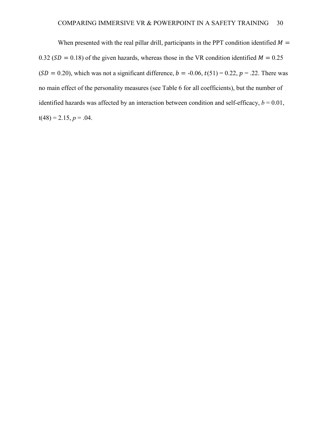When presented with the real pillar drill, participants in the PPT condition identified  $M =$ 0.32 ( $SD = 0.18$ ) of the given hazards, whereas those in the VR condition identified  $M = 0.25$  $(SD = 0.20)$ , which was not a significant difference,  $b = -0.06$ ,  $t(51) = 0.22$ ,  $p = .22$ . There was no main effect of the personality measures (see [Table 6](#page-30-0) for all coefficients), but the number of identified hazards was affected by an interaction between condition and self-efficacy,  $b = 0.01$ ,  $t(48) = 2.15, p = .04.$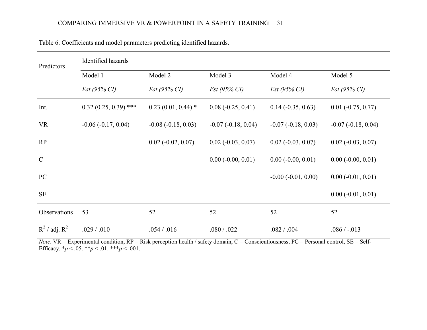<span id="page-30-0"></span>

| Predictors         | Identified hazards      |                             |                             |                         |                             |
|--------------------|-------------------------|-----------------------------|-----------------------------|-------------------------|-----------------------------|
|                    | Model 1                 | Model 2                     | Model 3                     | Model 4                 | Model 5                     |
|                    | $Est (95\% CI)$         | $Est (95\% CI)$             | $Est (95\% CI)$             | $Est (95\% CI)$         | $Est (95\% CI)$             |
| Int.               | $0.32(0.25, 0.39)$ ***  | $0.23(0.01, 0.44)$ *        | $0.08(-0.25, 0.41)$         | $0.14 (-0.35, 0.63)$    | $0.01 (-0.75, 0.77)$        |
| <b>VR</b>          | $-0.06$ $(-0.17, 0.04)$ | $-0.08(-0.18, 0.03)$        | $-0.07$ $(-0.18, 0.04)$     | $-0.07$ $(-0.18, 0.03)$ | $-0.07$ $(-0.18, 0.04)$     |
| RP                 |                         | $0.02$ ( $-0.02$ , $0.07$ ) | $0.02$ ( $-0.03$ , $0.07$ ) | $0.02 (-0.03, 0.07)$    | $0.02$ ( $-0.03$ , $0.07$ ) |
| $\mathcal{C}$      |                         |                             | $0.00 (-0.00, 0.01)$        | $0.00 (-0.00, 0.01)$    | $0.00 (-0.00, 0.01)$        |
| PC                 |                         |                             |                             | $-0.00$ $(-0.01, 0.00)$ | $0.00 (-0.01, 0.01)$        |
| <b>SE</b>          |                         |                             |                             |                         | $0.00 (-0.01, 0.01)$        |
| Observations       | 53                      | 52                          | 52                          | 52                      | 52                          |
| $R^2$ / adj. $R^2$ | .029 / .010             | .054 / .016                 | .080 / .022                 | .082 / .004             | $.086 / -013$               |

Table 6. Coefficients and model parameters predicting identified hazards.

*Note*. VR = Experimental condition, RP = Risk perception health / safety domain, C = Conscientiousness, PC = Personal control, SE = Self-Efficacy.  $* p < .05.$   $* p < .01.$   $* * p < .001.$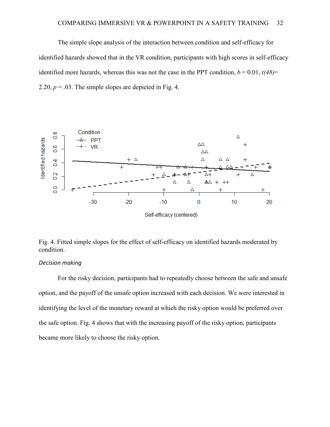The simple slope analysis of the interaction between condition and self-efficacy for identified hazards showed that in the VR condition, participants with high scores in self-efficacy identified more hazards, whereas this was not the case in the PPT condition,  $b = 0.01$ ,  $t(48)$ = 2.20,  $p = 0.03$ . The simple slopes are depicted in [Fig. 4.](#page-31-0)



<span id="page-31-0"></span>Fig. 4. Fitted simple slopes for the effect of self-efficacy on identified hazards moderated by condition.

## *Decision making*

For the risky decision, participants had to repeatedly choose between the safe and unsafe option, and the payoff of the unsafe option increased with each decision. We were interested in identifying the level of the monetary reward at which the risky option would be preferred over the safe option. [Fig. 4](#page-32-0) shows that with the increasing payoff of the risky option, participants became more likely to choose the risky option.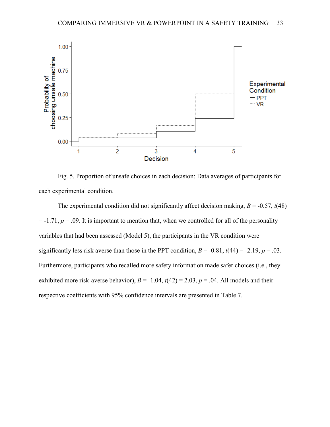

<span id="page-32-0"></span>Fig. 5. Proportion of unsafe choices in each decision: Data averages of participants for each experimental condition.

The experimental condition did not significantly affect decision making,  $B = -0.57$ ,  $t(48)$  $= -1.71$ ,  $p = .09$ . It is important to mention that, when we controlled for all of the personality variables that had been assessed (Model 5), the participants in the VR condition were significantly less risk averse than those in the PPT condition,  $B = -0.81$ ,  $t(44) = -2.19$ ,  $p = .03$ . Furthermore, participants who recalled more safety information made safer choices (i.e., they exhibited more risk-averse behavior),  $B = -1.04$ ,  $t(42) = 2.03$ ,  $p = .04$ . All models and their respective coefficients with 95% confidence intervals are presented in [Table 7.](#page-33-0)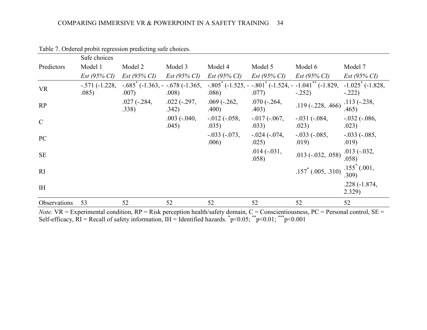|                | Safe choices             |                                                         |                             |                             |                           |                                                                                                                                                          |                           |
|----------------|--------------------------|---------------------------------------------------------|-----------------------------|-----------------------------|---------------------------|----------------------------------------------------------------------------------------------------------------------------------------------------------|---------------------------|
| Predictors     | Model 1                  | Model 2                                                 | Model 3                     | Model 4                     | Model 5                   | Model 6                                                                                                                                                  | Model 7                   |
|                | $Est (95\% CI)$          | $Est (95\% CI)$                                         | $Est (95\% CI)$             | $Est (95\% CI)$             | $Est (95\% CI)$           | Est (95% CI)                                                                                                                                             | $Est (95\% CI)$           |
| <b>VR</b>      | $-.571(-1.228,$<br>.085) | $-.685$ <sup>*</sup> (-1.363, - -.678 (-1.365,<br>.007) | .008)                       | .086)                       | .077)                     | $-0.805$ <sup>*</sup> ( $-1.525$ , $-0.801$ <sup>*</sup> ( $-1.524$ , $-1.041$ <sup>**</sup> ( $-1.829$ , $-1.025$ <sup>*</sup> ( $-1.828$ )<br>$-.252)$ | $-.222)$                  |
| RP             |                          | $.027(-.284,$<br>.338)                                  | $.022(-.297,$<br>.342)      | $.069$ ( $-.262$ )<br>.400) | $.070(-.264,$<br>.403)    | $.119(-.228, .466)$                                                                                                                                      | $.113(-.238,$<br>.465)    |
| $\mathcal{C}$  |                          |                                                         | $.003$ ( $-.040$ ,<br>.045) | $-0.012(-0.058,$<br>.035)   | $-0.017(-0.067)$<br>.033) | $-.031(-.084, )$<br>.023)                                                                                                                                | $-.032(-.086, )$<br>.023) |
| PC             |                          |                                                         |                             | $-.033(-073,$<br>.006)      | $-.024 (-074,$<br>.025)   | $-.033(-.085, )$<br>.019)                                                                                                                                | $-.033(-.085, )$<br>.019) |
| <b>SE</b>      |                          |                                                         |                             |                             | $.014(-.031,$<br>.058)    | $.013 (-.032, .058)$                                                                                                                                     | $.013(-.032,$<br>.058)    |
| RI             |                          |                                                         |                             |                             |                           | $.157^*$ (.005, .310)                                                                                                                                    | $.155^*$ (.001,<br>309)   |
| I <sub>H</sub> |                          |                                                         |                             |                             |                           |                                                                                                                                                          | $.228(-1.874,$<br>2.329)  |
| Observations   | 53                       | 52                                                      | 52                          | 52                          | 52                        | 52                                                                                                                                                       | 52                        |

Table 7. Ordered probit regression predicting safe choices.

<span id="page-33-0"></span>*Note.* VR = Experimental condition, RP = Risk perception health/safety domain, C = Conscientiousness, PC = Personal control, SE = Self-efficacy,  $\overline{RI}$  = Recall of safety information,  $IH$  = Identified hazards.  $\degree p$  < 0.05;  $\degree$   $\degree p$  < 0.01;  $\degree$   $\degree p$  < 0.001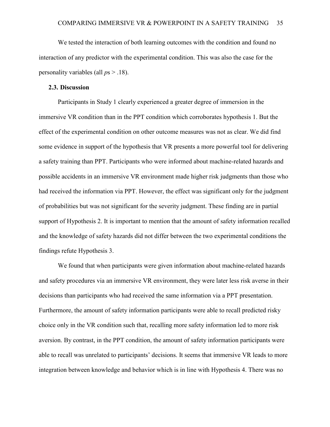We tested the interaction of both learning outcomes with the condition and found no interaction of any predictor with the experimental condition. This was also the case for the personality variables (all *p*s > .18).

## **2.3. Discussion**

Participants in Study 1 clearly experienced a greater degree of immersion in the immersive VR condition than in the PPT condition which corroborates hypothesis 1. But the effect of the experimental condition on other outcome measures was not as clear. We did find some evidence in support of the hypothesis that VR presents a more powerful tool for delivering a safety training than PPT. Participants who were informed about machine-related hazards and possible accidents in an immersive VR environment made higher risk judgments than those who had received the information via PPT. However, the effect was significant only for the judgment of probabilities but was not significant for the severity judgment. These finding are in partial support of Hypothesis 2. It is important to mention that the amount of safety information recalled and the knowledge of safety hazards did not differ between the two experimental conditions the findings refute Hypothesis 3.

We found that when participants were given information about machine-related hazards and safety procedures via an immersive VR environment, they were later less risk averse in their decisions than participants who had received the same information via a PPT presentation. Furthermore, the amount of safety information participants were able to recall predicted risky choice only in the VR condition such that, recalling more safety information led to more risk aversion. By contrast, in the PPT condition, the amount of safety information participants were able to recall was unrelated to participants' decisions. It seems that immersive VR leads to more integration between knowledge and behavior which is in line with Hypothesis 4. There was no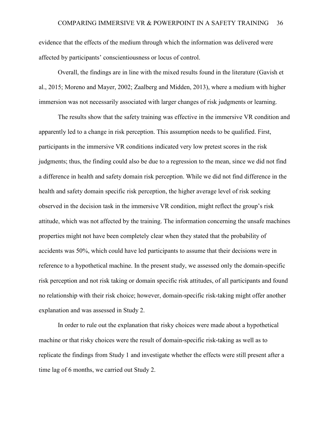evidence that the effects of the medium through which the information was delivered were affected by participants' conscientiousness or locus of control.

Overall, the findings are in line with the mixed results found in the literature (Gavish et al., 2015; Moreno and Mayer, 2002; Zaalberg and Midden, 2013), where a medium with higher immersion was not necessarily associated with larger changes of risk judgments or learning.

The results show that the safety training was effective in the immersive VR condition and apparently led to a change in risk perception. This assumption needs to be qualified. First, participants in the immersive VR conditions indicated very low pretest scores in the risk judgments; thus, the finding could also be due to a regression to the mean, since we did not find a difference in health and safety domain risk perception. While we did not find difference in the health and safety domain specific risk perception, the higher average level of risk seeking observed in the decision task in the immersive VR condition, might reflect the group's risk attitude, which was not affected by the training. The information concerning the unsafe machines properties might not have been completely clear when they stated that the probability of accidents was 50%, which could have led participants to assume that their decisions were in reference to a hypothetical machine. In the present study, we assessed only the domain-specific risk perception and not risk taking or domain specific risk attitudes, of all participants and found no relationship with their risk choice; however, domain-specific risk-taking might offer another explanation and was assessed in Study 2.

In order to rule out the explanation that risky choices were made about a hypothetical machine or that risky choices were the result of domain-specific risk-taking as well as to replicate the findings from Study 1 and investigate whether the effects were still present after a time lag of 6 months, we carried out Study 2.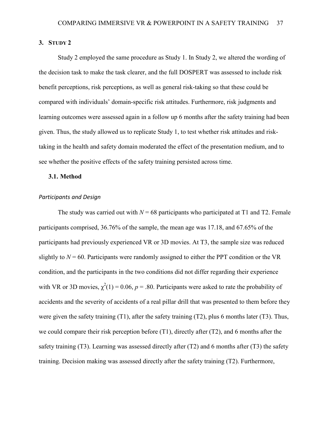## **3. STUDY 2**

Study 2 employed the same procedure as Study 1. In Study 2, we altered the wording of the decision task to make the task clearer, and the full DOSPERT was assessed to include risk benefit perceptions, risk perceptions, as well as general risk-taking so that these could be compared with individuals' domain-specific risk attitudes. Furthermore, risk judgments and learning outcomes were assessed again in a follow up 6 months after the safety training had been given. Thus, the study allowed us to replicate Study 1, to test whether risk attitudes and risktaking in the health and safety domain moderated the effect of the presentation medium, and to see whether the positive effects of the safety training persisted across time.

## **3.1. Method**

## *Participants and Design*

The study was carried out with  $N = 68$  participants who participated at T1 and T2. Female participants comprised, 36.76% of the sample, the mean age was 17.18, and 67.65% of the participants had previously experienced VR or 3D movies. At T3, the sample size was reduced slightly to  $N = 60$ . Participants were randomly assigned to either the PPT condition or the VR condition, and the participants in the two conditions did not differ regarding their experience with VR or 3D movies,  $\chi^2(1) = 0.06$ ,  $p = .80$ . Participants were asked to rate the probability of accidents and the severity of accidents of a real pillar drill that was presented to them before they were given the safety training (T1), after the safety training (T2), plus 6 months later (T3). Thus, we could compare their risk perception before (T1), directly after (T2), and 6 months after the safety training (T3). Learning was assessed directly after (T2) and 6 months after (T3) the safety training. Decision making was assessed directly after the safety training (T2). Furthermore,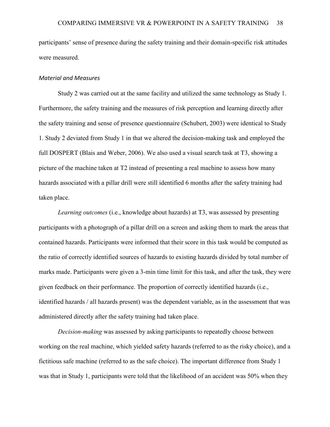participants' sense of presence during the safety training and their domain-specific risk attitudes were measured.

#### *Material and Measures*

Study 2 was carried out at the same facility and utilized the same technology as Study 1. Furthermore, the safety training and the measures of risk perception and learning directly after the safety training and sense of presence questionnaire (Schubert, 2003) were identical to Study 1. Study 2 deviated from Study 1 in that we altered the decision-making task and employed the full DOSPERT (Blais and Weber, 2006). We also used a visual search task at T3, showing a picture of the machine taken at T2 instead of presenting a real machine to assess how many hazards associated with a pillar drill were still identified 6 months after the safety training had taken place.

*Learning outcomes* (i.e., knowledge about hazards) at T3, was assessed by presenting participants with a photograph of a pillar drill on a screen and asking them to mark the areas that contained hazards. Participants were informed that their score in this task would be computed as the ratio of correctly identified sources of hazards to existing hazards divided by total number of marks made. Participants were given a 3-min time limit for this task, and after the task, they were given feedback on their performance. The proportion of correctly identified hazards (i.e., identified hazards / all hazards present) was the dependent variable, as in the assessment that was administered directly after the safety training had taken place.

*Decision-making* was assessed by asking participants to repeatedly choose between working on the real machine, which yielded safety hazards (referred to as the risky choice), and a fictitious safe machine (referred to as the safe choice). The important difference from Study 1 was that in Study 1, participants were told that the likelihood of an accident was 50% when they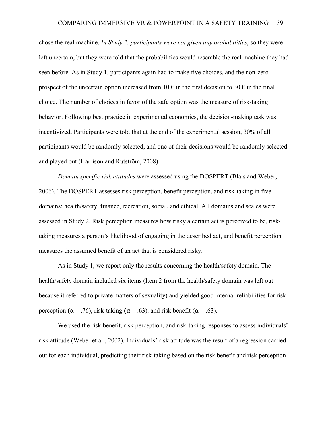chose the real machine. *In Study 2, participants were not given any probabilities*, so they were left uncertain, but they were told that the probabilities would resemble the real machine they had seen before. As in Study 1, participants again had to make five choices, and the non-zero prospect of the uncertain option increased from 10  $\epsilon$  in the first decision to 30  $\epsilon$  in the final choice. The number of choices in favor of the safe option was the measure of risk-taking behavior. Following best practice in experimental economics, the decision-making task was incentivized. Participants were told that at the end of the experimental session, 30% of all participants would be randomly selected, and one of their decisions would be randomly selected and played out (Harrison and Rutström, 2008).

*Domain specific risk attitudes* were assessed using the DOSPERT (Blais and Weber, 2006). The DOSPERT assesses risk perception, benefit perception, and risk-taking in five domains: health/safety, finance, recreation, social, and ethical. All domains and scales were assessed in Study 2. Risk perception measures how risky a certain act is perceived to be, risktaking measures a person's likelihood of engaging in the described act, and benefit perception measures the assumed benefit of an act that is considered risky.

As in Study 1, we report only the results concerning the health/safety domain. The health/safety domain included six items (Item 2 from the health/safety domain was left out because it referred to private matters of sexuality) and yielded good internal reliabilities for risk perception ( $\alpha$  = .76), risk-taking ( $\alpha$  = .63), and risk benefit ( $\alpha$  = .63).

We used the risk benefit, risk perception, and risk-taking responses to assess individuals' risk attitude (Weber et al., 2002). Individuals' risk attitude was the result of a regression carried out for each individual, predicting their risk-taking based on the risk benefit and risk perception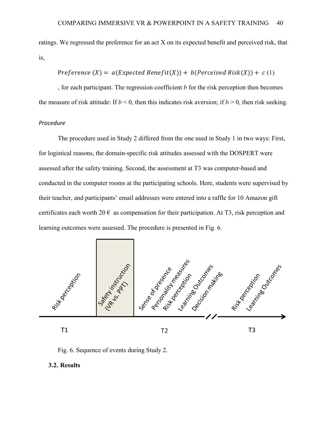ratings. We regressed the preference for an act X on its expected benefit and perceived risk, that is,

## Preference  $(X) = a$ (Expected Benefit(X)) + b(Perceived Risk(X)) + c(1)

, for each participant. The regression coefficient *b* for the risk perception then becomes the measure of risk attitude: If  $b < 0$ , then this indicates risk aversion; if  $b > 0$ , then risk seeking.

### *Procedure*

The procedure used in Study 2 differed from the one used in Study 1 in two ways: First, for logistical reasons, the domain-specific risk attitudes assessed with the DOSPERT were assessed after the safety training. Second, the assessment at T3 was computer-based and conducted in the computer rooms at the participating schools. Here, students were supervised by their teacher, and participants' email addresses were entered into a raffle for 10 Amazon gift certificates each worth  $20 \in \mathbb{R}$  as compensation for their participation. At T3, risk perception and learning outcomes were assessed. The procedure is presented in [Fig. 6.](#page-39-0)



Fig. 6. Sequence of events during Study 2.

## <span id="page-39-0"></span>**3.2. Results**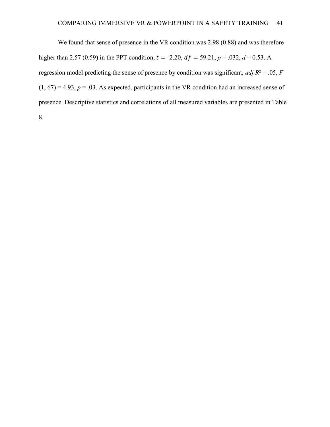We found that sense of presence in the VR condition was 2.98 (0.88) and was therefore higher than 2.57 (0.59) in the PPT condition,  $t = -2.20$ ,  $df = 59.21$ ,  $p = .032$ ,  $d = 0.53$ . A regression model predicting the sense of presence by condition was significant, *adj.R*² = .05, *F*  $(1, 67) = 4.93$ ,  $p = .03$ . As expected, participants in the VR condition had an increased sense of presence. Descriptive statistics and correlations of all measured variables are presented in [Table](#page-41-0)  [8.](#page-41-0)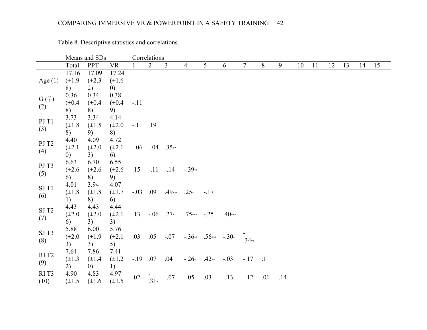<span id="page-41-0"></span>

|                   |                   | Means and SDs     |                   |            | Correlations       |          |                |                         |          |           |     |     |    |    |    |    |    |    |
|-------------------|-------------------|-------------------|-------------------|------------|--------------------|----------|----------------|-------------------------|----------|-----------|-----|-----|----|----|----|----|----|----|
|                   | Total             | <b>PPT</b>        | <b>VR</b>         |            | $\overline{2}$     | 3        | $\overline{4}$ | 5                       | 6        | 7         | 8   | 9   | 10 | 11 | 12 | 13 | 14 | 15 |
|                   | 17.16             | 17.09             | 17.24             |            |                    |          |                |                         |          |           |     |     |    |    |    |    |    |    |
| Age $(1)$         | $(\pm 1.9)$       | $(\pm 2.3)$       | $(\pm 1.6)$       |            |                    |          |                |                         |          |           |     |     |    |    |    |    |    |    |
|                   | 8)                | 2)                | $\left( 0\right)$ |            |                    |          |                |                         |          |           |     |     |    |    |    |    |    |    |
|                   | 0.36              | 0.34              | 0.38              |            |                    |          |                |                         |          |           |     |     |    |    |    |    |    |    |
| $G(\varphi)$      | $(\pm 0.4)$       | $(\pm 0.4)$       | $(\pm 0.4)$       | $-.11$     |                    |          |                |                         |          |           |     |     |    |    |    |    |    |    |
| (2)               | 8)                | 8)                | 9)                |            |                    |          |                |                         |          |           |     |     |    |    |    |    |    |    |
| PJ T1             | 3.73              | 3.34              | 4.14              |            |                    |          |                |                         |          |           |     |     |    |    |    |    |    |    |
|                   | $(\pm 1.8)$       | $(\pm 1.5)$       | $(\pm 2.0)$       | $-1$       | .19                |          |                |                         |          |           |     |     |    |    |    |    |    |    |
| (3)               | 8)                | 9)                | 8)                |            |                    |          |                |                         |          |           |     |     |    |    |    |    |    |    |
| PJ T <sub>2</sub> | 4.40              | 4.09              | 4.72              |            |                    |          |                |                         |          |           |     |     |    |    |    |    |    |    |
|                   | $(\pm 2.1)$       | $(\pm 2.0)$       | $(\pm 2.1)$       |            | $-.06 - .04$ .35** |          |                |                         |          |           |     |     |    |    |    |    |    |    |
| (4)               | $\left( 0\right)$ | 3)                | 6)                |            |                    |          |                |                         |          |           |     |     |    |    |    |    |    |    |
| PJ T3             | 6.63              | 6.70              | 6.55              |            |                    |          |                |                         |          |           |     |     |    |    |    |    |    |    |
|                   | $(\pm 2.6)$       | $(\pm 2.6)$       | $(\pm 2.6)$       | .15        | $-11 - 14$         |          | $-.39**$       |                         |          |           |     |     |    |    |    |    |    |    |
| (5)               | 6)                | 8)                | 9)                |            |                    |          |                |                         |          |           |     |     |    |    |    |    |    |    |
| $SJT1$            | 4.01              | 3.94              | 4.07              |            |                    |          |                |                         |          |           |     |     |    |    |    |    |    |    |
|                   | $(\pm 1.8)$       | $(\pm 1.8)$       | $(\pm 1.7)$       | $-.03$ .09 |                    | $.49***$ | $.25*$         | $-.17$                  |          |           |     |     |    |    |    |    |    |    |
| (6)               | 1)                | 8)                | 6)                |            |                    |          |                |                         |          |           |     |     |    |    |    |    |    |    |
| $\mathrm{SJ}$ T2  | 4.43              | 4.43              | 4.44              |            |                    |          |                |                         |          |           |     |     |    |    |    |    |    |    |
|                   | $(\pm 2.0)$       | $(\pm 2.0)$       | $(\pm 2.1)$       | .13        | $-.06$ .27*        |          | $.75***$ -.25  |                         | $.40***$ |           |     |     |    |    |    |    |    |    |
| (7)               | 6)                | 3)                | 3)                |            |                    |          |                |                         |          |           |     |     |    |    |    |    |    |    |
| SJT3              | 5.88              | 6.00              | 5.76              |            |                    |          |                |                         |          |           |     |     |    |    |    |    |    |    |
| (8)               | $(\pm 2.0)$       | $(\pm 1.9)$       | $(\pm 2.1)$       | .03        | .05                | $-.07$   |                | $-.36**$ .56*** $-.30*$ |          | $.34**$   |     |     |    |    |    |    |    |    |
|                   | 3)                | 3)                | 5)                |            |                    |          |                |                         |          |           |     |     |    |    |    |    |    |    |
| RIT <sub>2</sub>  | 7.64              | 7.86              | 7.41              |            |                    |          |                |                         |          |           |     |     |    |    |    |    |    |    |
| (9)               | $(\pm 1.3)$       | $(\pm 1.4)$       | $(\pm 1.2)$       | $-19$ .07  |                    | .04      | $-.26*$        | $.42**$                 | $-.03$   | $-.17-.1$ |     |     |    |    |    |    |    |    |
|                   | 2)                | $\left( 0\right)$ | 1)                |            |                    |          |                |                         |          |           |     |     |    |    |    |    |    |    |
| RIT <sub>3</sub>  | 4.90              | 4.83              | 4.97              | .02        |                    | $-.07$   | $-.05$         | .03                     | $-13$    | $-12$     | .01 | .14 |    |    |    |    |    |    |
| (10)              | $(\pm 1.5)$       | $(\pm 1.6)$       | $(\pm 1.5)$       |            | $.31*$             |          |                |                         |          |           |     |     |    |    |    |    |    |    |

Table 8. Descriptive statistics and correlations.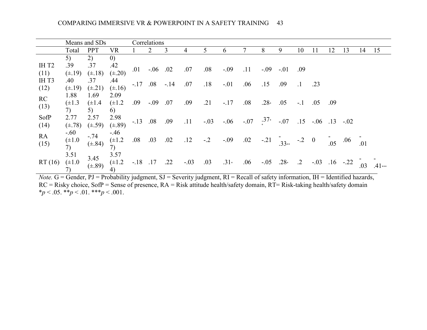|              |                             | Means and SDs             |                             |            | Correlations |       |        |        |        |        |                    |         |            |                     |      |        |     |          |
|--------------|-----------------------------|---------------------------|-----------------------------|------------|--------------|-------|--------|--------|--------|--------|--------------------|---------|------------|---------------------|------|--------|-----|----------|
|              | Total                       | <b>PPT</b>                | VR                          |            |              | 3     | 4      | 5      | 6      |        | 8                  | 9       | 10         | 11                  | 12   | 13     | 14  | 15       |
|              | 5)                          | 2)                        | $\left( 0\right)$           |            |              |       |        |        |        |        |                    |         |            |                     |      |        |     |          |
| IHT2         | .39                         | .37                       | .42                         | .01        | $-.06$ .02   |       | .07    | .08    | $-.09$ | .11    | $-.09$             | $-.01$  | .09        |                     |      |        |     |          |
| (11)         | $(\pm .19)$                 | $(\pm .18)$               | $(\pm .20)$                 |            |              |       |        |        |        |        |                    |         |            |                     |      |        |     |          |
| IHT3<br>(12) | .40<br>$(\pm .19)$          | .37<br>$(\pm .21)$        | .44<br>$(\pm .16)$          | $-.17$ .08 |              | $-14$ | .07    | .18    | $-.01$ | .06    | .15                | .09     | $\cdot$ 1  | .23                 |      |        |     |          |
| RC<br>(13)   | 1.88<br>$(\pm 1.3)$<br>7)   | 1.69<br>$(\pm 1.4)$<br>5) | 2.09<br>$(\pm 1.2)$<br>6)   | .09        | $-.09$       | .07   | .09    | .21    | $-.17$ | .08    | $.28*$             | .05     | $-.1$      | .05                 | 0.09 |        |     |          |
| SofP<br>(14) | 2.77<br>$(\pm .78)$         | 2.57<br>$(\pm .59)$       | 2.98<br>$(\pm .89)$         | $-.13-.08$ |              | .09   | .11    | $-.03$ | $-06$  | $-.07$ | $^{137*}_{\ldots}$ | $-.07$  | .15        | $-0.06$ .13 $-0.02$ |      |        |     |          |
| RA<br>(15)   | $-.60$<br>$(\pm 1.0)$<br>7) | $-.74$<br>$(\pm .84)$     | $-.46$<br>$(\pm 1.2)$<br>7) | .08        | .03          | .02   | .12    | $-2$   | $-.09$ | .02    | $-.21$             | $.33**$ | $-2$       | $\bf{0}$            | .05  | .06    | .01 |          |
| RT(16)       | 3.51<br>$(\pm 1.0)$<br>7)   | 3.45<br>$(\pm .89)$       | 3.57<br>$(\pm 1.2)$<br>4)   | $-.18$     | .17          | .22   | $-.03$ | .03    | $.31*$ | .06    | $-.05$             | $.28*$  | $\cdot$ .2 | $-.03$              | .16  | $-.22$ | .03 | $.41***$ |

*Note.* G = Gender, PJ = Probability judgment, SJ = Severity judgment, RI = Recall of safety information, IH = Identified hazards, RC = Risky choice, SofP = Sense of presence, RA = Risk attitude health/safety domain, RT= Risk-taking health/safety domain  $*_{p}$  < .05.  $*_{p}$  < .01.  $*_{p}$  < .001.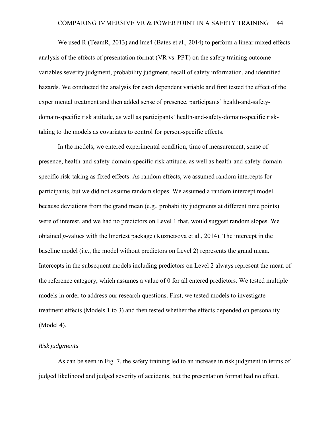We used R (TeamR, 2013) and lme4 (Bates et al., 2014) to perform a linear mixed effects analysis of the effects of presentation format (VR vs. PPT) on the safety training outcome variables severity judgment, probability judgment, recall of safety information, and identified hazards. We conducted the analysis for each dependent variable and first tested the effect of the experimental treatment and then added sense of presence, participants' health-and-safetydomain-specific risk attitude, as well as participants' health-and-safety-domain-specific risktaking to the models as covariates to control for person-specific effects.

In the models, we entered experimental condition, time of measurement, sense of presence, health-and-safety-domain-specific risk attitude, as well as health-and-safety-domainspecific risk-taking as fixed effects. As random effects, we assumed random intercepts for participants, but we did not assume random slopes. We assumed a random intercept model because deviations from the grand mean (e.g., probability judgments at different time points) were of interest, and we had no predictors on Level 1 that, would suggest random slopes. We obtained *p*-values with the lmertest package (Kuznetsova et al., 2014). The intercept in the baseline model (i.e., the model without predictors on Level 2) represents the grand mean. Intercepts in the subsequent models including predictors on Level 2 always represent the mean of the reference category, which assumes a value of 0 for all entered predictors. We tested multiple models in order to address our research questions. First, we tested models to investigate treatment effects (Models 1 to 3) and then tested whether the effects depended on personality (Model 4).

#### *Risk judgments*

As can be seen in [Fig. 7,](#page-44-0) the safety training led to an increase in risk judgment in terms of judged likelihood and judged severity of accidents, but the presentation format had no effect.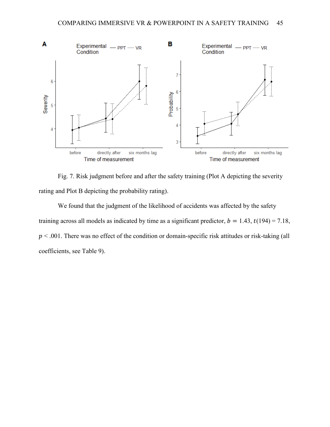

<span id="page-44-0"></span>Fig. 7. Risk judgment before and after the safety training (Plot A depicting the severity rating and Plot B depicting the probability rating).

We found that the judgment of the likelihood of accidents was affected by the safety training across all models as indicated by time as a significant predictor,  $b = 1.43$ ,  $t(194) = 7.18$ ,  $p < .001$ . There was no effect of the condition or domain-specific risk attitudes or risk-taking (all coefficients, see [Table 9\)](#page-45-0).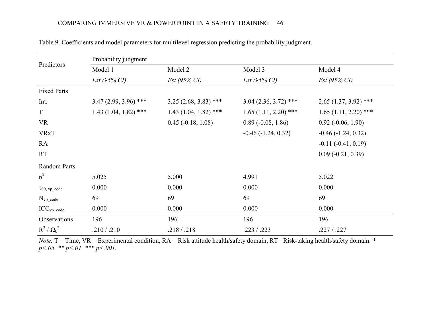<span id="page-45-0"></span>

|                       | Probability judgment   |                             |                         |                          |
|-----------------------|------------------------|-----------------------------|-------------------------|--------------------------|
| Predictors            | Model 1                | Model 2                     | Model 3                 | Model 4                  |
|                       | $Est (95\% CI)$        | $Est (95\% CI)$             | $Est (95\% CI)$         | $Est (95\% CI)$          |
| <b>Fixed Parts</b>    |                        |                             |                         |                          |
| Int.                  | $3.47(2.99, 3.96)$ *** | $3.25(2.68, 3.83)$ ***      | $3.04(2.36, 3.72)$ ***  | $2.65(1.37, 3.92)$ ***   |
| $\mathbf T$           | $1.43(1.04, 1.82)$ *** | $1.43(1.04, 1.82)$ ***      | $1.65(1.11, 2.20)$ ***  | $1.65(1.11, 2.20)$ ***   |
| <b>VR</b>             |                        | $0.45$ ( $-0.18$ , $1.08$ ) | $0.89(-0.08, 1.86)$     | $0.92$ ( $-0.06$ , 1.90) |
| <b>VRxT</b>           |                        |                             | $-0.46$ $(-1.24, 0.32)$ | $-0.46$ $(-1.24, 0.32)$  |
| RA                    |                        |                             |                         | $-0.11(-0.41, 0.19)$     |
| <b>RT</b>             |                        |                             |                         | $0.09(-0.21, 0.39)$      |
| Random Parts          |                        |                             |                         |                          |
| $\sigma^2$            | 5.025                  | 5.000                       | 4.991                   | 5.022                    |
| $\tau_{00, vp\_code}$ | 0.000                  | 0.000                       | 0.000                   | 0.000                    |
| $N_{vp\_code}$        | 69                     | 69                          | 69                      | 69                       |
| $ICC_{vp\_code}$      | 0.000                  | 0.000                       | 0.000                   | 0.000                    |
| Observations          | 196                    | 196                         | 196                     | 196                      |
| $R^2/\Omega_0^2$      | .210 / .210            | .218 / .218                 | .223 / .223             | .227 / .227              |

Table 9. Coefficients and model parameters for multilevel regression predicting the probability judgment.

*Note.* T = Time, VR = Experimental condition, RA = Risk attitude health/safety domain, RT= Risk-taking health/safety domain. *\* p<.05. \*\* p<.01. \*\*\* p<.001.*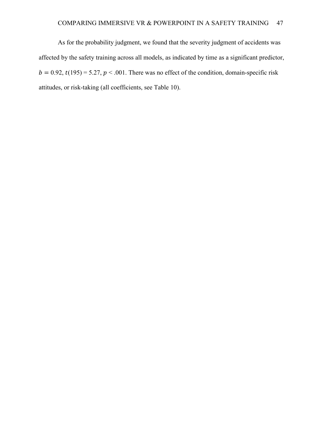As for the probability judgment, we found that the severity judgment of accidents was affected by the safety training across all models, as indicated by time as a significant predictor,  $b = 0.92$ ,  $t(195) = 5.27$ ,  $p < .001$ . There was no effect of the condition, domain-specific risk attitudes, or risk-taking (all coefficients, see [Table 10\)](#page-47-0).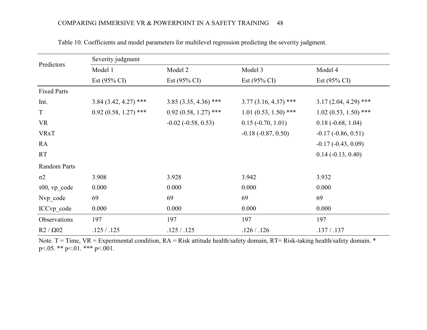<span id="page-47-0"></span>

|                       | Severity judgment       |                         |                         |                         |  |  |  |  |  |  |  |  |
|-----------------------|-------------------------|-------------------------|-------------------------|-------------------------|--|--|--|--|--|--|--|--|
| Predictors            | Model 1                 | Model 2                 | Model 3                 | Model 4                 |  |  |  |  |  |  |  |  |
|                       | Est $(95\% \text{ CI})$ | Est $(95\% \text{ CI})$ | Est $(95\% \text{ CI})$ | Est $(95\% \text{ CI})$ |  |  |  |  |  |  |  |  |
| <b>Fixed Parts</b>    |                         |                         |                         |                         |  |  |  |  |  |  |  |  |
| Int.                  | $3.84$ (3.42, 4.27) *** | $3.85(3.35, 4.36)$ ***  | $3.77(3.16, 4.37)$ ***  | $3.17(2.04, 4.29)$ ***  |  |  |  |  |  |  |  |  |
| T                     | $0.92(0.58, 1.27)$ ***  | $0.92(0.58, 1.27)$ ***  | $1.01(0.53, 1.50)$ ***  | $1.02(0.53, 1.50)$ ***  |  |  |  |  |  |  |  |  |
| <b>VR</b>             |                         | $-0.02$ $(-0.58, 0.53)$ | $0.15 (-0.70, 1.01)$    | $0.18(-0.68, 1.04)$     |  |  |  |  |  |  |  |  |
| <b>VRxT</b>           |                         |                         | $-0.18(-0.87, 0.50)$    | $-0.17(-0.86, 0.51)$    |  |  |  |  |  |  |  |  |
| RA                    |                         |                         |                         | $-0.17(-0.43, 0.09)$    |  |  |  |  |  |  |  |  |
| RT                    |                         |                         |                         | $0.14 (-0.13, 0.40)$    |  |  |  |  |  |  |  |  |
| Random Parts          |                         |                         |                         |                         |  |  |  |  |  |  |  |  |
| $\sigma$ <sup>2</sup> | 3.908                   | 3.928                   | 3.942                   | 3.932                   |  |  |  |  |  |  |  |  |
| $\tau$ 00, vp_code    | 0.000                   | 0.000                   | 0.000                   | 0.000                   |  |  |  |  |  |  |  |  |
| Nvp_code              | 69                      | 69                      | 69                      | 69                      |  |  |  |  |  |  |  |  |
| ICCvp code            | 0.000                   | 0.000                   | 0.000                   | 0.000                   |  |  |  |  |  |  |  |  |
| Observations          | 197                     | 197                     | 197                     | 197                     |  |  |  |  |  |  |  |  |
| $R2 / \Omega02$       | .125/.125               | .125 / .125             | .126 / .126             | .137 / .137             |  |  |  |  |  |  |  |  |

Table 10. Coefficients and model parameters for multilevel regression predicting the severity judgment.

Note.  $T = Time$ ,  $VR = Experimental condition$ ,  $RA = Risk$  attitude health/safety domain,  $RT = Risk$ -taking health/safety domain. \* p<.05. \*\* p<.01. \*\*\* p<.001.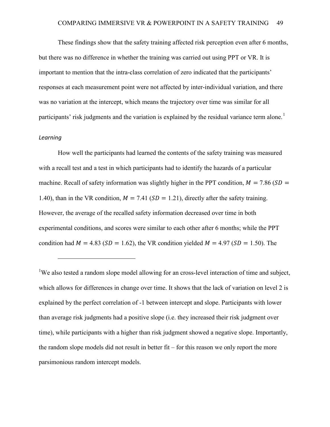These findings show that the safety training affected risk perception even after 6 months, but there was no difference in whether the training was carried out using PPT or VR. It is important to mention that the intra-class correlation of zero indicated that the participants' responses at each measurement point were not affected by inter-individual variation, and there was no variation at the intercept, which means the trajectory over time was similar for all participants' risk judgments and the variation is explained by the residual variance term alone.<sup>[1](#page-48-0)</sup>

#### *Learning*

 $\overline{a}$ 

How well the participants had learned the contents of the safety training was measured with a recall test and a test in which participants had to identify the hazards of a particular machine. Recall of safety information was slightly higher in the PPT condition,  $M = 7.86$  (SD = 1.40), than in the VR condition,  $M = 7.41$  (SD = 1.21), directly after the safety training. However, the average of the recalled safety information decreased over time in both experimental conditions, and scores were similar to each other after 6 months; while the PPT condition had  $M = 4.83$  (SD = 1.62), the VR condition yielded  $M = 4.97$  (SD = 1.50). The

<span id="page-48-0"></span><sup>1</sup>We also tested a random slope model allowing for an cross-level interaction of time and subject, which allows for differences in change over time. It shows that the lack of variation on level 2 is explained by the perfect correlation of -1 between intercept and slope. Participants with lower than average risk judgments had a positive slope (i.e. they increased their risk judgment over time), while participants with a higher than risk judgment showed a negative slope. Importantly, the random slope models did not result in better fit – for this reason we only report the more parsimonious random intercept models.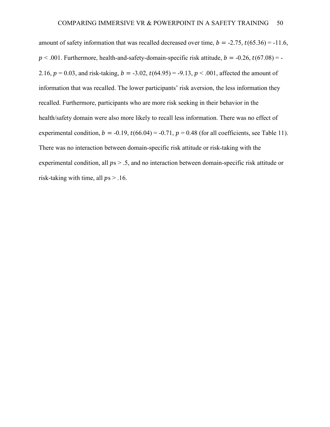amount of safety information that was recalled decreased over time,  $b = -2.75$ ,  $t(65.36) = -11.6$ ,  $p < .001$ . Furthermore, health-and-safety-domain-specific risk attitude,  $b = -0.26$ ,  $t(67.08) = -0.26$ 2.16,  $p = 0.03$ , and risk-taking,  $b = -3.02$ ,  $t(64.95) = -9.13$ ,  $p < .001$ , affected the amount of information that was recalled. The lower participants' risk aversion, the less information they recalled. Furthermore, participants who are more risk seeking in their behavior in the health/safety domain were also more likely to recall less information. There was no effect of experimental condition,  $b = -0.19$ ,  $t(66.04) = -0.71$ ,  $p = 0.48$  (for all coefficients, see [Table 11\)](#page-50-0). There was no interaction between domain-specific risk attitude or risk-taking with the experimental condition, all  $ps > .5$ , and no interaction between domain-specific risk attitude or risk-taking with time, all  $ps > .16$ .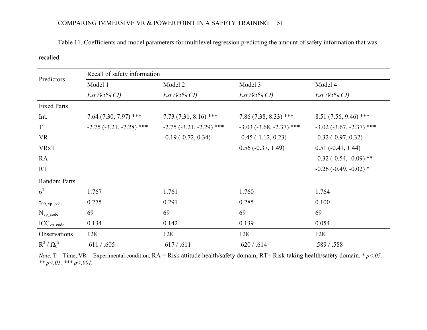# COMPARING IMMERSIVE VR & POWERPOINT IN A SAFETY TRAINING 51

Table 11. Coefficients and model parameters for multilevel regression predicting the amount of safety information that was recalled.

<span id="page-50-0"></span>

| Predictors                    | Recall of safety information |                              |                              |                                   |  |  |
|-------------------------------|------------------------------|------------------------------|------------------------------|-----------------------------------|--|--|
|                               | Model 1                      | Model 2                      | Model 3                      | Model 4                           |  |  |
|                               | $Est (95\% CI)$              | $Est (95\% CI)$              | $Est (95\% CI)$              | $Est (95\% CI)$                   |  |  |
| <b>Fixed Parts</b>            |                              |                              |                              |                                   |  |  |
| Int.                          | $7.64(7.30, 7.97)$ ***       | $7.73(7.31, 8.16)$ ***       | $7.86(7.38, 8.33)$ ***       | 8.51 (7.56, 9.46) ***             |  |  |
| T                             | $-2.75$ $(-3.21, -2.28)$ *** | $-2.75$ $(-3.21, -2.29)$ *** | $-3.03$ $(-3.68, -2.37)$ *** | $-3.02$ ( $-3.67$ , $-2.37$ ) *** |  |  |
| <b>VR</b>                     |                              | $-0.19(-0.72, 0.34)$         | $-0.45$ ( $-1.12$ , 0.23)    | $-0.32$ $(-0.97, 0.32)$           |  |  |
| <b>VRxT</b>                   |                              |                              | $0.56(-0.37, 1.49)$          | $0.51(-0.41, 1.44)$               |  |  |
| RA                            |                              |                              |                              | $-0.32$ ( $-0.54$ , $-0.09$ ) **  |  |  |
| <b>RT</b>                     |                              |                              |                              | $-0.26$ ( $-0.49$ , $-0.02$ ) *   |  |  |
| Random Parts                  |                              |                              |                              |                                   |  |  |
| $\sigma^2$                    | 1.767                        | 1.761                        | 1.760                        | 1.764                             |  |  |
| $\tau_{00, \text{ vp\_code}}$ | 0.275                        | 0.291                        | 0.285                        | 0.100                             |  |  |
| $N_{vp}$ code                 | 69                           | 69                           | 69                           | 69                                |  |  |
| $ICC_{vp\_code}$              | 0.134                        | 0.142                        | 0.139                        | 0.054                             |  |  |
| Observations                  | 128                          | 128                          | 128                          | 128                               |  |  |
| $R^2/\Omega_0^2$              | .611 / .605                  | .617/.611                    | .620 / .614                  | .589/.588                         |  |  |

*Note.* T = Time, VR = Experimental condition, RA = Risk attitude health/safety domain, RT= Risk-taking health/safety domain. *\* p<.05. \*\* p<.01. \*\*\* p<.001.*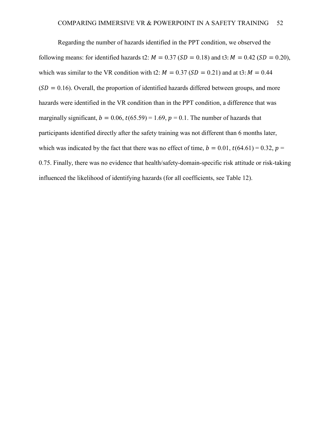Regarding the number of hazards identified in the PPT condition, we observed the following means: for identified hazards t2:  $M = 0.37$  (SD = 0.18) and t3:  $M = 0.42$  (SD = 0.20), which was similar to the VR condition with t2:  $M = 0.37$  (SD = 0.21) and at t3:  $M = 0.44$  $(SD = 0.16)$ . Overall, the proportion of identified hazards differed between groups, and more hazards were identified in the VR condition than in the PPT condition, a difference that was marginally significant,  $b = 0.06$ ,  $t(65.59) = 1.69$ ,  $p = 0.1$ . The number of hazards that participants identified directly after the safety training was not different than 6 months later, which was indicated by the fact that there was no effect of time,  $b = 0.01$ ,  $t(64.61) = 0.32$ ,  $p =$ 0.75. Finally, there was no evidence that health/safety-domain-specific risk attitude or risk-taking influenced the likelihood of identifying hazards (for all coefficients, see [Table 12\)](#page-52-0).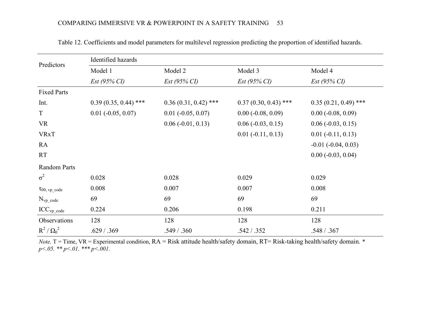<span id="page-52-0"></span>

| Predictors                    | Identified hazards          |                        |                        |                         |  |  |
|-------------------------------|-----------------------------|------------------------|------------------------|-------------------------|--|--|
|                               | Model 1                     | Model 2                | Model 3                | Model 4                 |  |  |
|                               | $Est (95\% CI)$             | $Est (95\% CI)$        | $Est (95\% CI)$        | $Est (95\% CI)$         |  |  |
| <b>Fixed Parts</b>            |                             |                        |                        |                         |  |  |
| Int.                          | $0.39(0.35, 0.44)$ ***      | $0.36(0.31, 0.42)$ *** | $0.37(0.30, 0.43)$ *** | $0.35(0.21, 0.49)$ ***  |  |  |
| T                             | $0.01$ ( $-0.05$ , $0.07$ ) | $0.01 (-0.05, 0.07)$   | $0.00 (-0.08, 0.09)$   | $0.00 (-0.08, 0.09)$    |  |  |
| <b>VR</b>                     |                             | $0.06(-0.01, 0.13)$    | $0.06 (-0.03, 0.15)$   | $0.06(-0.03, 0.15)$     |  |  |
| <b>VRxT</b>                   |                             |                        | $0.01 (-0.11, 0.13)$   | $0.01 (-0.11, 0.13)$    |  |  |
| RA                            |                             |                        |                        | $-0.01$ $(-0.04, 0.03)$ |  |  |
| <b>RT</b>                     |                             |                        |                        | $0.00 (-0.03, 0.04)$    |  |  |
| <b>Random Parts</b>           |                             |                        |                        |                         |  |  |
| $\sigma^2$                    | 0.028                       | 0.028                  | 0.029                  | 0.029                   |  |  |
| $\tau_{00, \text{ vp\_code}}$ | 0.008                       | 0.007                  | 0.007                  | 0.008                   |  |  |
| $N_{vp\_code}$                | 69                          | 69                     | 69                     | 69                      |  |  |
| $ICC_{vp\_code}$              | 0.224                       | 0.206                  | 0.198                  | 0.211                   |  |  |
| Observations                  | 128                         | 128                    | 128                    | 128                     |  |  |
| $R^2/\Omega_0^2$              | .629 / .369                 | .549 / .360            | .542 / .352            | .548 / .367             |  |  |

Table 12. Coefficients and model parameters for multilevel regression predicting the proportion of identified hazards.

*Note.* T = Time, VR = Experimental condition, RA = Risk attitude health/safety domain, RT= Risk-taking health/safety domain. *\* p<.05. \*\* p<.01. \*\*\* p<.001.*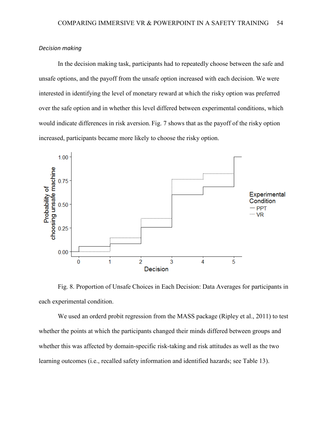### *Decision making*

In the decision making task, participants had to repeatedly choose between the safe and unsafe options, and the payoff from the unsafe option increased with each decision. We were interested in identifying the level of monetary reward at which the risky option was preferred over the safe option and in whether this level differed between experimental conditions, which would indicate differences in risk aversion. [Fig. 7](#page-53-0) shows that as the payoff of the risky option increased, participants became more likely to choose the risky option.



<span id="page-53-0"></span>Fig. 8. Proportion of Unsafe Choices in Each Decision: Data Averages for participants in each experimental condition.

We used an orderd probit regression from the MASS package (Ripley et al., 2011) to test whether the points at which the participants changed their minds differed between groups and whether this was affected by domain-specific risk-taking and risk attitudes as well as the two learning outcomes (i.e., recalled safety information and identified hazards; see [Table 13\)](#page-54-0).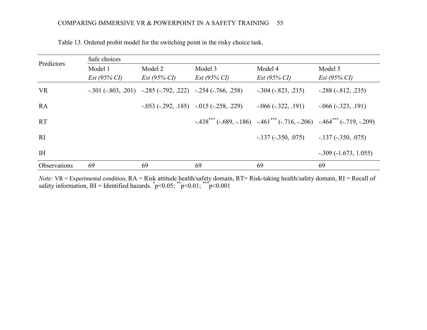| Predictors   | Safe choices    |                                                                   |                                                     |                                                                                              |                         |  |  |
|--------------|-----------------|-------------------------------------------------------------------|-----------------------------------------------------|----------------------------------------------------------------------------------------------|-------------------------|--|--|
|              | Model 1         | Model 2                                                           | Model 3                                             | Model 4                                                                                      | Model 5                 |  |  |
|              | $Est (95\% CI)$ | $Est (95\% CI)$                                                   | $Est (95\% CI)$                                     | $Est (95\% CI)$                                                                              | $Est (95\% CI)$         |  |  |
| <b>VR</b>    |                 | $-.301 (-.803, .201)$ $-.285 (-.792, .222)$ $-.254 (-.766, .258)$ |                                                     | $-.304 (-.823, .215)$                                                                        | $-.288(-.812, .235)$    |  |  |
| <b>RA</b>    |                 |                                                                   | $-.053$ ( $-.292, .185$ ) $-.015$ ( $-.258, .229$ ) | $-0.066(-0.322, 0.191)$                                                                      | $-0.066(-0.323, 0.191)$ |  |  |
| <b>RT</b>    |                 |                                                                   |                                                     | $-0.438***$ $(-0.689, -0.186)$ $-0.461***$ $(-0.716, -0.206)$ $-0.464***$ $(-0.719, -0.209)$ |                         |  |  |
| RI           |                 |                                                                   |                                                     | $-137$ ( $-350, .075$ )                                                                      | $-137$ ( $-350, .075$ ) |  |  |
| <b>IH</b>    |                 |                                                                   |                                                     |                                                                                              | $-.309(-1.673, 1.055)$  |  |  |
| Observations | 69              | 69                                                                | 69                                                  | 69                                                                                           | 69                      |  |  |

Table 13. Ordered probit model for the switching point in the risky choice task.

<span id="page-54-0"></span>*Note:* VR = Experimental condition, RA = Risk attitude health/safety domain, RT= Risk-taking health/safety domain, RI = Recall of safety information, IH = Identified hazards.  $\bar{p}$  < 0.05;  $\bar{p}$  < 0.01;  $\bar{p}$  < 0.001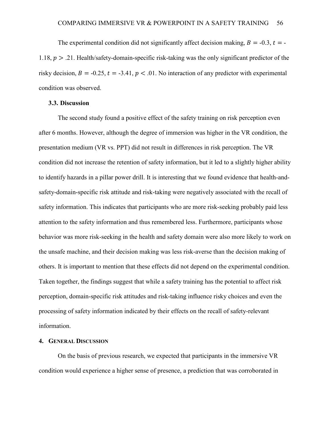The experimental condition did not significantly affect decision making,  $B = -0.3$ ,  $t = -1$ 1.18,  $p > 0.21$ . Health/safety-domain-specific risk-taking was the only significant predictor of the risky decision,  $B = -0.25$ ,  $t = -3.41$ ,  $p < .01$ . No interaction of any predictor with experimental condition was observed.

#### **3.3. Discussion**

The second study found a positive effect of the safety training on risk perception even after 6 months. However, although the degree of immersion was higher in the VR condition, the presentation medium (VR vs. PPT) did not result in differences in risk perception. The VR condition did not increase the retention of safety information, but it led to a slightly higher ability to identify hazards in a pillar power drill. It is interesting that we found evidence that health-andsafety-domain-specific risk attitude and risk-taking were negatively associated with the recall of safety information. This indicates that participants who are more risk-seeking probably paid less attention to the safety information and thus remembered less. Furthermore, participants whose behavior was more risk-seeking in the health and safety domain were also more likely to work on the unsafe machine, and their decision making was less risk-averse than the decision making of others. It is important to mention that these effects did not depend on the experimental condition. Taken together, the findings suggest that while a safety training has the potential to affect risk perception, domain-specific risk attitudes and risk-taking influence risky choices and even the processing of safety information indicated by their effects on the recall of safety-relevant information.

## **4. GENERAL DISCUSSION**

On the basis of previous research, we expected that participants in the immersive VR condition would experience a higher sense of presence, a prediction that was corroborated in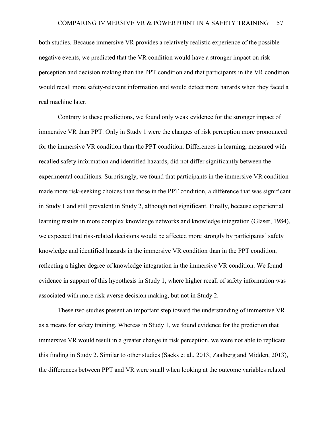both studies. Because immersive VR provides a relatively realistic experience of the possible negative events, we predicted that the VR condition would have a stronger impact on risk perception and decision making than the PPT condition and that participants in the VR condition would recall more safety-relevant information and would detect more hazards when they faced a real machine later.

Contrary to these predictions, we found only weak evidence for the stronger impact of immersive VR than PPT. Only in Study 1 were the changes of risk perception more pronounced for the immersive VR condition than the PPT condition. Differences in learning, measured with recalled safety information and identified hazards, did not differ significantly between the experimental conditions. Surprisingly, we found that participants in the immersive VR condition made more risk-seeking choices than those in the PPT condition, a difference that was significant in Study 1 and still prevalent in Study 2, although not significant. Finally, because experiential learning results in more complex knowledge networks and knowledge integration (Glaser, 1984), we expected that risk-related decisions would be affected more strongly by participants' safety knowledge and identified hazards in the immersive VR condition than in the PPT condition, reflecting a higher degree of knowledge integration in the immersive VR condition. We found evidence in support of this hypothesis in Study 1, where higher recall of safety information was associated with more risk-averse decision making, but not in Study 2.

These two studies present an important step toward the understanding of immersive VR as a means for safety training. Whereas in Study 1, we found evidence for the prediction that immersive VR would result in a greater change in risk perception, we were not able to replicate this finding in Study 2. Similar to other studies (Sacks et al., 2013; Zaalberg and Midden, 2013), the differences between PPT and VR were small when looking at the outcome variables related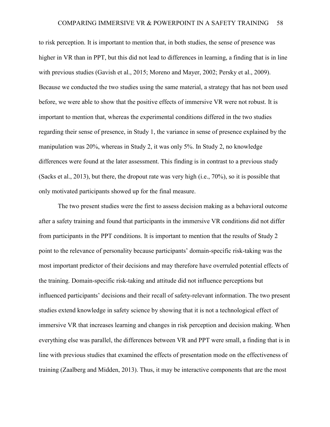to risk perception. It is important to mention that, in both studies, the sense of presence was higher in VR than in PPT, but this did not lead to differences in learning, a finding that is in line with previous studies (Gavish et al., 2015; Moreno and Mayer, 2002; Persky et al., 2009). Because we conducted the two studies using the same material, a strategy that has not been used before, we were able to show that the positive effects of immersive VR were not robust. It is important to mention that, whereas the experimental conditions differed in the two studies regarding their sense of presence, in Study 1, the variance in sense of presence explained by the manipulation was 20%, whereas in Study 2, it was only 5%. In Study 2, no knowledge differences were found at the later assessment. This finding is in contrast to a previous study (Sacks et al., 2013), but there, the dropout rate was very high (i.e., 70%), so it is possible that only motivated participants showed up for the final measure.

The two present studies were the first to assess decision making as a behavioral outcome after a safety training and found that participants in the immersive VR conditions did not differ from participants in the PPT conditions. It is important to mention that the results of Study 2 point to the relevance of personality because participants' domain-specific risk-taking was the most important predictor of their decisions and may therefore have overruled potential effects of the training. Domain-specific risk-taking and attitude did not influence perceptions but influenced participants' decisions and their recall of safety-relevant information. The two present studies extend knowledge in safety science by showing that it is not a technological effect of immersive VR that increases learning and changes in risk perception and decision making. When everything else was parallel, the differences between VR and PPT were small, a finding that is in line with previous studies that examined the effects of presentation mode on the effectiveness of training (Zaalberg and Midden, 2013). Thus, it may be interactive components that are the most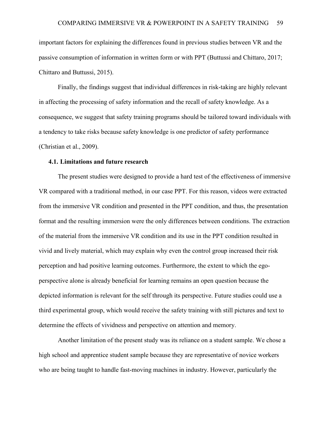important factors for explaining the differences found in previous studies between VR and the passive consumption of information in written form or with PPT (Buttussi and Chittaro, 2017; Chittaro and Buttussi, 2015).

Finally, the findings suggest that individual differences in risk-taking are highly relevant in affecting the processing of safety information and the recall of safety knowledge. As a consequence, we suggest that safety training programs should be tailored toward individuals with a tendency to take risks because safety knowledge is one predictor of safety performance (Christian et al., 2009).

### **4.1. Limitations and future research**

The present studies were designed to provide a hard test of the effectiveness of immersive VR compared with a traditional method, in our case PPT. For this reason, videos were extracted from the immersive VR condition and presented in the PPT condition, and thus, the presentation format and the resulting immersion were the only differences between conditions. The extraction of the material from the immersive VR condition and its use in the PPT condition resulted in vivid and lively material, which may explain why even the control group increased their risk perception and had positive learning outcomes. Furthermore, the extent to which the egoperspective alone is already beneficial for learning remains an open question because the depicted information is relevant for the self through its perspective. Future studies could use a third experimental group, which would receive the safety training with still pictures and text to determine the effects of vividness and perspective on attention and memory.

Another limitation of the present study was its reliance on a student sample. We chose a high school and apprentice student sample because they are representative of novice workers who are being taught to handle fast-moving machines in industry. However, particularly the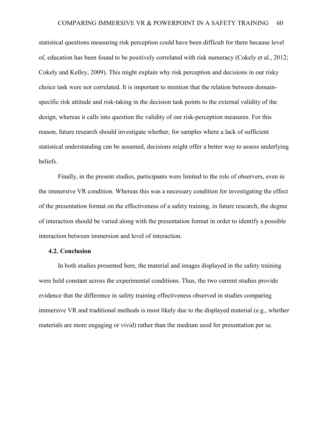statistical questions measuring risk perception could have been difficult for them because level of, education has been found to be positively correlated with risk numeracy (Cokely et al., 2012; Cokely and Kelley, 2009). This might explain why risk perception and decisions in our risky choice task were not correlated. It is important to mention that the relation between domainspecific risk attitude and risk-taking in the decision task points to the external validity of the design, whereas it calls into question the validity of our risk-perception measures. For this reason, future research should investigate whether, for samples where a lack of sufficient statistical understanding can be assumed, decisions might offer a better way to assess underlying beliefs.

Finally, in the present studies, participants were limited to the role of observers, even in the immersive VR condition. Whereas this was a necessary condition for investigating the effect of the presentation format on the effectiveness of a safety training, in future research, the degree of interaction should be varied along with the presentation format in order to identify a possible interaction between immersion and level of interaction.

#### **4.2. Conclusion**

In both studies presented here, the material and images displayed in the safety training were held constant across the experimental conditions. Thus, the two current studies provide evidence that the difference in safety training effectiveness observed in studies comparing immersive VR and traditional methods is most likely due to the displayed material (e.g., whether materials are more engaging or vivid) rather than the medium used for presentation per se.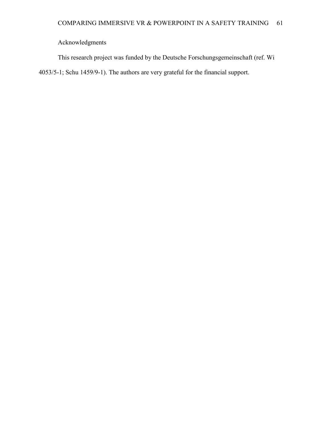Acknowledgments

This research project was funded by the Deutsche Forschungsgemeinschaft (ref. Wi 4053/5-1; Schu 1459/9-1). The authors are very grateful for the financial support.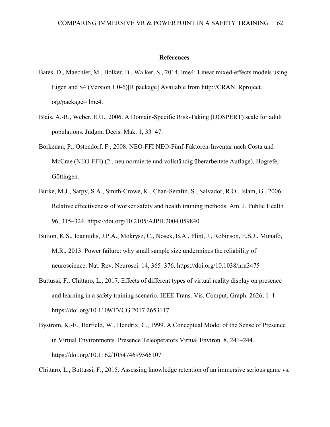### **References**

- Bates, D., Maechler, M., Bolker, B., Walker, S., 2014. lme4: Linear mixed-effects models using Eigen and S4 (Version 1.0-6)[R package] Available from http://CRAN. Rproject. org/package= lme4.
- Blais, A.-R., Weber, E.U., 2006. A Domain-Specific Risk-Taking (DOSPERT) scale for adult populations. Judgm. Decis. Mak. 1, 33–47.
- Borkenau, P., Ostendorf, F., 2008. NEO-FFI NEO-Fünf-Faktoren-Inventar nach Costa und McCrae (NEO-FFI) (2., neu normierte und vollständig überarbeitete Auflage), Hogrefe, Göttingen.
- Burke, M.J., Sarpy, S.A., Smith-Crowe, K., Chan-Serafin, S., Salvador, R.O., Islam, G., 2006. Relative effectiveness of worker safety and health training methods. Am. J. Public Health 96, 315–324. https://doi.org/10.2105/AJPH.2004.059840
- Button, K.S., Ioannidis, J.P.A., Mokrysz, C., Nosek, B.A., Flint, J., Robinson, E.S.J., Munafò, M.R., 2013. Power failure: why small sample size undermines the reliability of neuroscience. Nat. Rev. Neurosci. 14, 365–376. https://doi.org/10.1038/nrn3475
- Buttussi, F., Chittaro, L., 2017. Effects of different types of virtual reality display on presence and learning in a safety training scenario. IEEE Trans. Vis. Comput. Graph. 2626, 1–1. https://doi.org/10.1109/TVCG.2017.2653117
- Bystrom, K.-E., Barfield, W., Hendrix, C., 1999. A Conceptual Model of the Sense of Presence in Virtual Environments. Presence Teleoperators Virtual Environ. 8, 241–244. https://doi.org/10.1162/105474699566107

Chittaro, L., Buttussi, F., 2015. Assessing knowledge retention of an immersive serious game vs.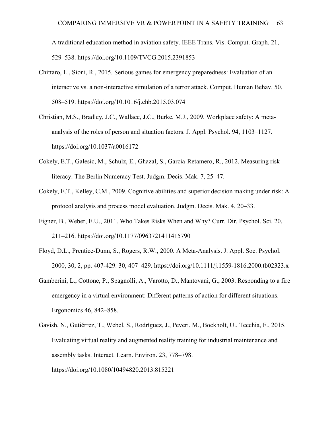A traditional education method in aviation safety. IEEE Trans. Vis. Comput. Graph. 21, 529–538. https://doi.org/10.1109/TVCG.2015.2391853

- Chittaro, L., Sioni, R., 2015. Serious games for emergency preparedness: Evaluation of an interactive vs. a non-interactive simulation of a terror attack. Comput. Human Behav. 50, 508–519. https://doi.org/10.1016/j.chb.2015.03.074
- Christian, M.S., Bradley, J.C., Wallace, J.C., Burke, M.J., 2009. Workplace safety: A metaanalysis of the roles of person and situation factors. J. Appl. Psychol. 94, 1103–1127. https://doi.org/10.1037/a0016172
- Cokely, E.T., Galesic, M., Schulz, E., Ghazal, S., Garcia-Retamero, R., 2012. Measuring risk literacy: The Berlin Numeracy Test. Judgm. Decis. Mak. 7, 25–47.
- Cokely, E.T., Kelley, C.M., 2009. Cognitive abilities and superior decision making under risk: A protocol analysis and process model evaluation. Judgm. Decis. Mak. 4, 20–33.
- Figner, B., Weber, E.U., 2011. Who Takes Risks When and Why? Curr. Dir. Psychol. Sci. 20, 211–216. https://doi.org/10.1177/0963721411415790
- Floyd, D.L., Prentice-Dunn, S., Rogers, R.W., 2000. A Meta-Analysis. J. Appl. Soc. Psychol. 2000, 30, 2, pp. 407-429. 30, 407–429. https://doi.org/10.1111/j.1559-1816.2000.tb02323.x
- Gamberini, L., Cottone, P., Spagnolli, A., Varotto, D., Mantovani, G., 2003. Responding to a fire emergency in a virtual environment: Different patterns of action for different situations. Ergonomics 46, 842–858.
- Gavish, N., Gutiérrez, T., Webel, S., Rodríguez, J., Peveri, M., Bockholt, U., Tecchia, F., 2015. Evaluating virtual reality and augmented reality training for industrial maintenance and assembly tasks. Interact. Learn. Environ. 23, 778–798. https://doi.org/10.1080/10494820.2013.815221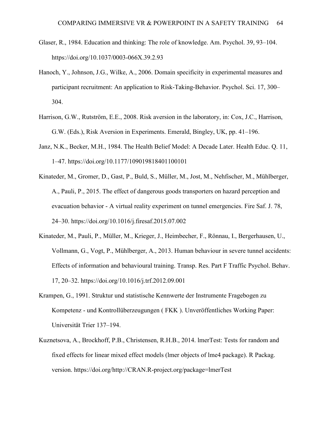- Glaser, R., 1984. Education and thinking: The role of knowledge. Am. Psychol. 39, 93–104. https://doi.org/10.1037/0003-066X.39.2.93
- Hanoch, Y., Johnson, J.G., Wilke, A., 2006. Domain specificity in experimental measures and participant recruitment: An application to Risk-Taking-Behavior. Psychol. Sci. 17, 300– 304.
- Harrison, G.W., Rutström, E.E., 2008. Risk aversion in the laboratory, in: Cox, J.C., Harrison, G.W. (Eds.), Risk Aversion in Experiments. Emerald, Bingley, UK, pp. 41–196.
- Janz, N.K., Becker, M.H., 1984. The Health Belief Model: A Decade Later. Health Educ. Q. 11, 1–47. https://doi.org/10.1177/109019818401100101
- Kinateder, M., Gromer, D., Gast, P., Buld, S., Müller, M., Jost, M., Nehfischer, M., Mühlberger, A., Pauli, P., 2015. The effect of dangerous goods transporters on hazard perception and evacuation behavior - A virtual reality experiment on tunnel emergencies. Fire Saf. J. 78, 24–30. https://doi.org/10.1016/j.firesaf.2015.07.002
- Kinateder, M., Pauli, P., Müller, M., Krieger, J., Heimbecher, F., Rönnau, I., Bergerhausen, U., Vollmann, G., Vogt, P., Mühlberger, A., 2013. Human behaviour in severe tunnel accidents: Effects of information and behavioural training. Transp. Res. Part F Traffic Psychol. Behav. 17, 20–32. https://doi.org/10.1016/j.trf.2012.09.001
- Krampen, G., 1991. Struktur und statistische Kennwerte der Instrumente Fragebogen zu Kompetenz - und Kontrollüberzeugungen ( FKK ). Unveröffentliches Working Paper: Universität Trier 137–194.
- Kuznetsova, A., Brockhoff, P.B., Christensen, R.H.B., 2014. lmerTest: Tests for random and fixed effects for linear mixed effect models (lmer objects of lme4 package). R Packag. version. https://doi.org/http://CRAN.R-project.org/package=lmerTest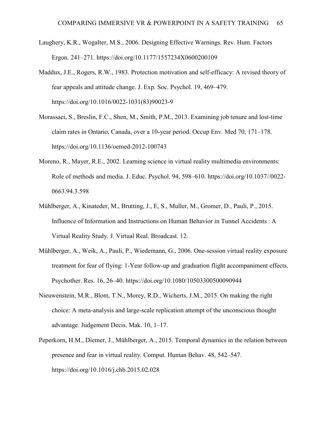- Laughery, K.R., Wogalter, M.S., 2006. Designing Effective Warnings. Rev. Hum. Factors Ergon. 241–271. https://doi.org/10.1177/1557234X0600200109
- Maddux, J.E., Rogers, R.W., 1983. Protection motivation and self-efficacy: A revised theory of fear appeals and attitude change. J. Exp. Soc. Psychol. 19, 469–479. https://doi.org/10.1016/0022-1031(83)90023-9
- Morassaei, S., Breslin, F.C., Shen, M., Smith, P.M., 2013. Examining job tenure and lost-time claim rates in Ontario, Canada, over a 10-year period. Occup Env. Med 70, 171–178. https://doi.org/10.1136/oemed-2012-100743
- Moreno, R., Mayer, R.E., 2002. Learning science in virtual reality multimedia environments: Role of methods and media. J. Educ. Psychol. 94, 598–610. https://doi.org/10.1037//0022- 0663.94.3.598
- Mühlberger, A., Kinateder, M., Brutting, J., E, S., Muller, M., Gromer, D., Pauli, P., 2015. Influence of Information and Instructions on Human Behavior in Tunnel Accidents : A Virtual Reality Study. J. Virtual Real. Broadcast. 12.
- Mühlberger, A., Weik, A., Pauli, P., Wiedemann, G., 2006. One-session virtual reality exposure treatment for fear of flying: 1-Year follow-up and graduation flight accompaniment effects. Psychother. Res. 16, 26–40. https://doi.org/10.1080/10503300500090944
- Nieuwenstein, M.R., Blom, T.N., Morey, R.D., Wicherts, J.M., 2015. On making the right choice: A meta-analysis and large-scale replication attempt of the unconscious thought advantage. Judgement Decis. Mak. 10, 1–17.
- Peperkorn, H.M., Diemer, J., Mühlberger, A., 2015. Temporal dynamics in the relation between presence and fear in virtual reality. Comput. Human Behav. 48, 542–547. https://doi.org/10.1016/j.chb.2015.02.028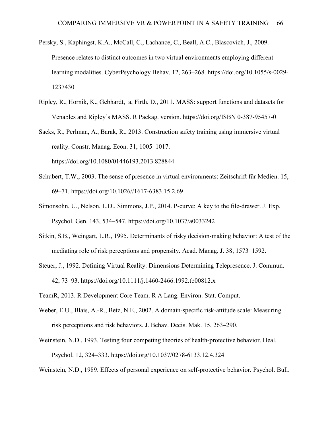- Persky, S., Kaphingst, K.A., McCall, C., Lachance, C., Beall, A.C., Blascovich, J., 2009. Presence relates to distinct outcomes in two virtual environments employing different learning modalities. CyberPsychology Behav. 12, 263–268. https://doi.org/10.1055/s-0029- 1237430
- Ripley, R., Hornik, K., Gebhardt, a, Firth, D., 2011. MASS: support functions and datasets for Venables and Ripley's MASS. R Packag. version. https://doi.org/ISBN 0-387-95457-0
- Sacks, R., Perlman, A., Barak, R., 2013. Construction safety training using immersive virtual reality. Constr. Manag. Econ. 31, 1005–1017. https://doi.org/10.1080/01446193.2013.828844
- Schubert, T.W., 2003. The sense of presence in virtual environments: Zeitschrift für Medien. 15, 69–71. https://doi.org/10.1026//1617-6383.15.2.69
- Simonsohn, U., Nelson, L.D., Simmons, J.P., 2014. P-curve: A key to the file-drawer. J. Exp. Psychol. Gen. 143, 534–547. https://doi.org/10.1037/a0033242
- Sitkin, S.B., Weingart, L.R., 1995. Determinants of risky decision-making behavior: A test of the mediating role of risk perceptions and propensity. Acad. Manag. J. 38, 1573–1592.
- Steuer, J., 1992. Defining Virtual Reality: Dimensions Determining Telepresence. J. Commun. 42, 73–93. https://doi.org/10.1111/j.1460-2466.1992.tb00812.x
- TeamR, 2013. R Development Core Team. R A Lang. Environ. Stat. Comput.
- Weber, E.U., Blais, A.-R., Betz, N.E., 2002. A domain-specific risk-attitude scale: Measuring risk perceptions and risk behaviors. J. Behav. Decis. Mak. 15, 263–290.
- Weinstein, N.D., 1993. Testing four competing theories of health-protective behavior. Heal. Psychol. 12, 324–333. https://doi.org/10.1037/0278-6133.12.4.324
- Weinstein, N.D., 1989. Effects of personal experience on self-protective behavior. Psychol. Bull.